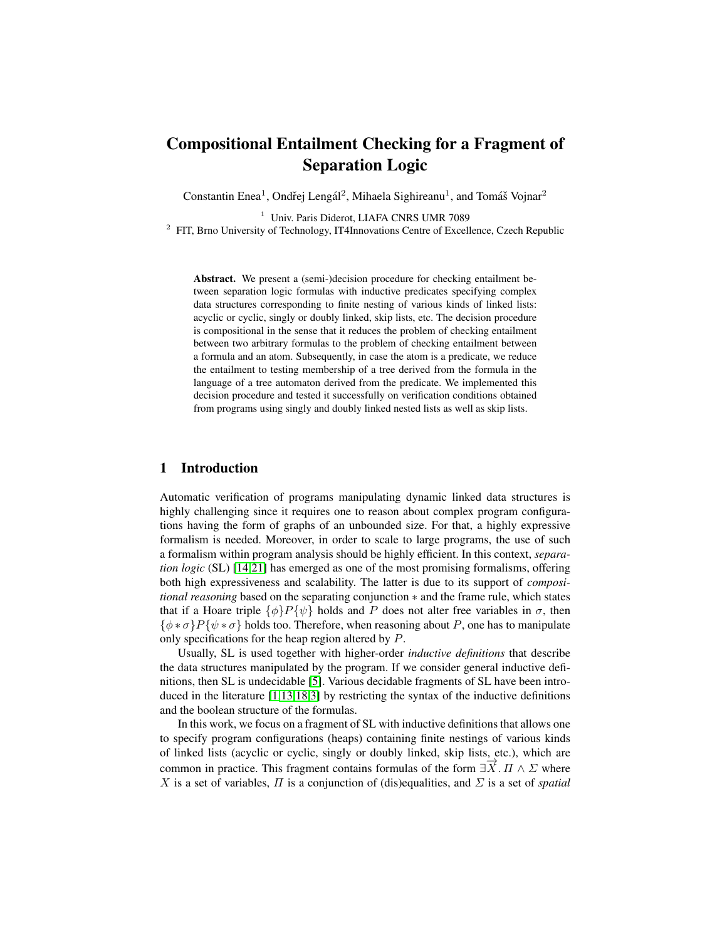# <span id="page-0-0"></span>Compositional Entailment Checking for a Fragment of Separation Logic

Constantin Enea<sup>1</sup>, Ondřej Lengál<sup>2</sup>, Mihaela Sighireanu<sup>1</sup>, and Tomáš Vojnar<sup>2</sup>

<sup>1</sup> Univ. Paris Diderot, LIAFA CNRS UMR 7089 <sup>2</sup> FIT, Brno University of Technology, IT4Innovations Centre of Excellence, Czech Republic

Abstract. We present a (semi-)decision procedure for checking entailment between separation logic formulas with inductive predicates specifying complex data structures corresponding to finite nesting of various kinds of linked lists: acyclic or cyclic, singly or doubly linked, skip lists, etc. The decision procedure is compositional in the sense that it reduces the problem of checking entailment between two arbitrary formulas to the problem of checking entailment between a formula and an atom. Subsequently, in case the atom is a predicate, we reduce the entailment to testing membership of a tree derived from the formula in the language of a tree automaton derived from the predicate. We implemented this decision procedure and tested it successfully on verification conditions obtained from programs using singly and doubly linked nested lists as well as skip lists.

### 1 Introduction

Automatic verification of programs manipulating dynamic linked data structures is highly challenging since it requires one to reason about complex program configurations having the form of graphs of an unbounded size. For that, a highly expressive formalism is needed. Moreover, in order to scale to large programs, the use of such a formalism within program analysis should be highly efficient. In this context, *separation logic* (SL) [\[14](#page-19-0)[,21\]](#page-19-1) has emerged as one of the most promising formalisms, offering both high expressiveness and scalability. The latter is due to its support of *compositional reasoning* based on the separating conjunction ∗ and the frame rule, which states that if a Hoare triple  $\{\phi\}P\{\psi\}$  holds and P does not alter free variables in  $\sigma$ , then  ${\phi * \sigma}P{\psi * \sigma}$  holds too. Therefore, when reasoning about P, one has to manipulate only specifications for the heap region altered by P.

Usually, SL is used together with higher-order *inductive definitions* that describe the data structures manipulated by the program. If we consider general inductive definitions, then SL is undecidable [\[5\]](#page-19-2). Various decidable fragments of SL have been introduced in the literature [\[1,](#page-18-0)[13,](#page-19-3)[18,](#page-19-4)[3\]](#page-18-1) by restricting the syntax of the inductive definitions and the boolean structure of the formulas.

In this work, we focus on a fragment of SL with inductive definitions that allows one to specify program configurations (heaps) containing finite nestings of various kinds of linked lists (acyclic or cyclic, singly or doubly linked, skip lists, etc.), which are common in practice. This fragment contains formulas of the form  $\exists \overrightarrow{X}$ .  $\Pi \wedge \Sigma$  where X is a set of variables,  $\Pi$  is a conjunction of (dis)equalities, and  $\Sigma$  is a set of *spatial*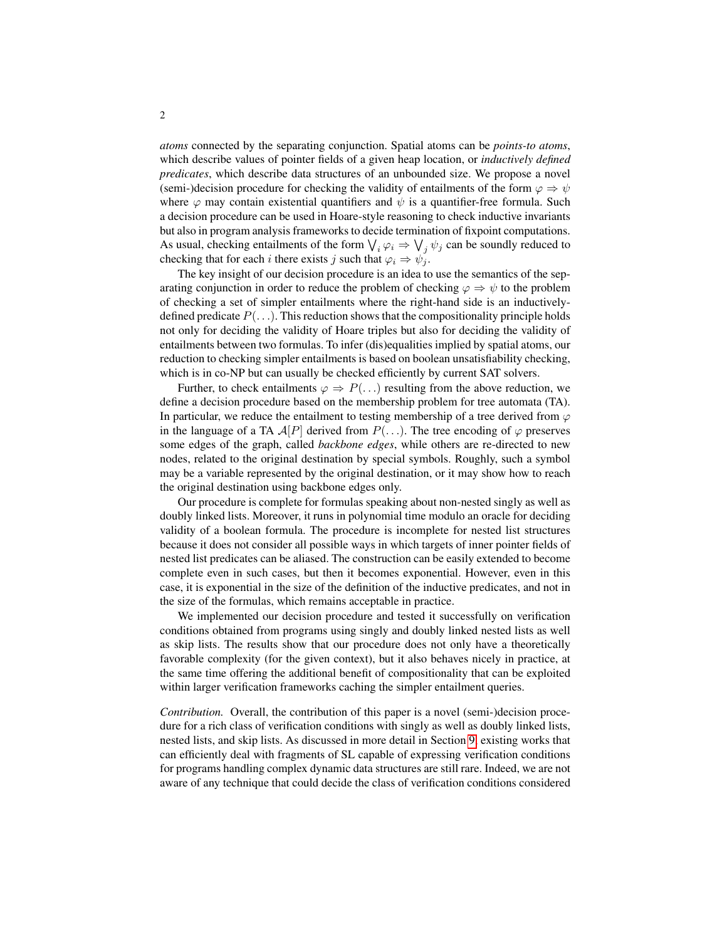*atoms* connected by the separating conjunction. Spatial atoms can be *points-to atoms*, which describe values of pointer fields of a given heap location, or *inductively defined predicates*, which describe data structures of an unbounded size. We propose a novel (semi-)decision procedure for checking the validity of entailments of the form  $\varphi \Rightarrow \psi$ where  $\varphi$  may contain existential quantifiers and  $\psi$  is a quantifier-free formula. Such a decision procedure can be used in Hoare-style reasoning to check inductive invariants but also in program analysis frameworks to decide termination of fixpoint computations. As usual, checking entailments of the form  $\bigvee_i \varphi_i \Rightarrow \bigvee_j \psi_j$  can be soundly reduced to checking that for each i there exists j such that  $\varphi_i \Rightarrow \psi_j$ .

The key insight of our decision procedure is an idea to use the semantics of the separating conjunction in order to reduce the problem of checking  $\varphi \Rightarrow \psi$  to the problem of checking a set of simpler entailments where the right-hand side is an inductivelydefined predicate  $P(\ldots)$ . This reduction shows that the compositionality principle holds not only for deciding the validity of Hoare triples but also for deciding the validity of entailments between two formulas. To infer (dis)equalities implied by spatial atoms, our reduction to checking simpler entailments is based on boolean unsatisfiability checking, which is in co-NP but can usually be checked efficiently by current SAT solvers.

Further, to check entailments  $\varphi \Rightarrow P(\ldots)$  resulting from the above reduction, we define a decision procedure based on the membership problem for tree automata (TA). In particular, we reduce the entailment to testing membership of a tree derived from  $\varphi$ in the language of a TA  $\mathcal{A}[P]$  derived from  $P(\ldots)$ . The tree encoding of  $\varphi$  preserves some edges of the graph, called *backbone edges*, while others are re-directed to new nodes, related to the original destination by special symbols. Roughly, such a symbol may be a variable represented by the original destination, or it may show how to reach the original destination using backbone edges only.

Our procedure is complete for formulas speaking about non-nested singly as well as doubly linked lists. Moreover, it runs in polynomial time modulo an oracle for deciding validity of a boolean formula. The procedure is incomplete for nested list structures because it does not consider all possible ways in which targets of inner pointer fields of nested list predicates can be aliased. The construction can be easily extended to become complete even in such cases, but then it becomes exponential. However, even in this case, it is exponential in the size of the definition of the inductive predicates, and not in the size of the formulas, which remains acceptable in practice.

We implemented our decision procedure and tested it successfully on verification conditions obtained from programs using singly and doubly linked nested lists as well as skip lists. The results show that our procedure does not only have a theoretically favorable complexity (for the given context), but it also behaves nicely in practice, at the same time offering the additional benefit of compositionality that can be exploited within larger verification frameworks caching the simpler entailment queries.

*Contribution.* Overall, the contribution of this paper is a novel (semi-)decision procedure for a rich class of verification conditions with singly as well as doubly linked lists, nested lists, and skip lists. As discussed in more detail in Section [9,](#page-17-0) existing works that can efficiently deal with fragments of SL capable of expressing verification conditions for programs handling complex dynamic data structures are still rare. Indeed, we are not aware of any technique that could decide the class of verification conditions considered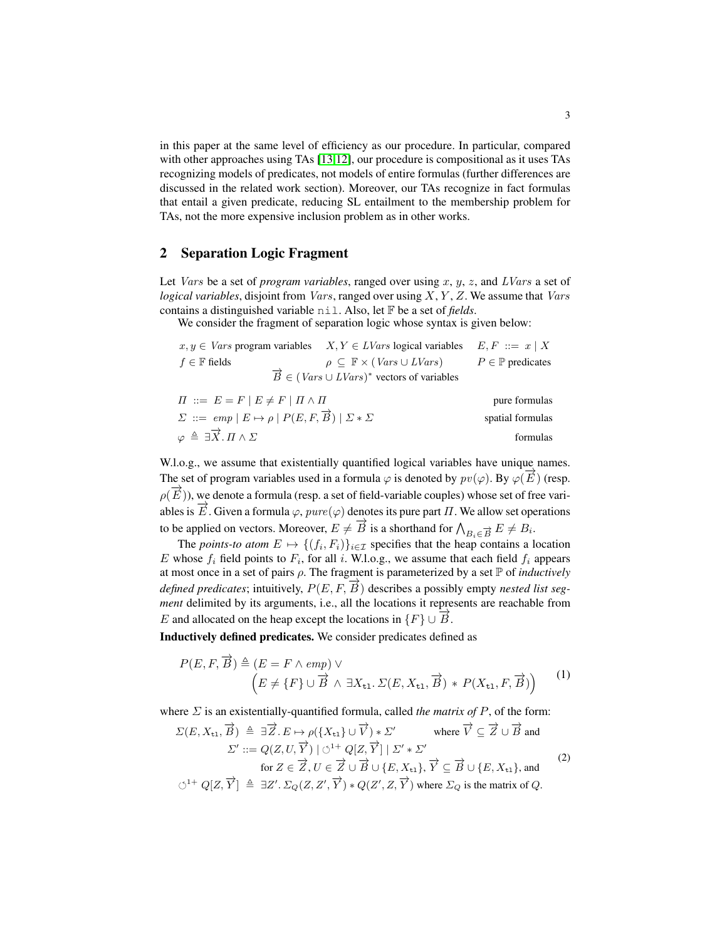in this paper at the same level of efficiency as our procedure. In particular, compared with other approaches using TAs [\[13](#page-19-3)[,12\]](#page-19-5), our procedure is compositional as it uses TAs recognizing models of predicates, not models of entire formulas (further differences are discussed in the related work section). Moreover, our TAs recognize in fact formulas that entail a given predicate, reducing SL entailment to the membership problem for TAs, not the more expensive inclusion problem as in other works.

# <span id="page-2-1"></span>2 Separation Logic Fragment

Let *Vars* be a set of *program variables*, ranged over using  $x, y, z$ , and *LVars* a set of *logical variables*, disjoint from *Vars*, ranged over using X, Y, Z. We assume that *Vars* contains a distinguished variable nil. Also, let F be a set of *fields*.

We consider the fragment of separation logic whose syntax is given below:

|                           | $x, y \in Vars$ program variables $X, Y \in LVars$ logical variables $E, F ::= x \mid X$ |                               |
|---------------------------|------------------------------------------------------------------------------------------|-------------------------------|
| $f \in \mathbb{F}$ fields | $\rho \subseteq \mathbb{F} \times (Vars \cup LVars)$                                     | $P \in \mathbb{P}$ predicates |
|                           | $\vec{B} \in (Vars \cup LVars)^*$ vectors of variables                                   |                               |

| $\Pi ::= E = F   E \neq F   \Pi \wedge \Pi$                                       | pure formulas    |
|-----------------------------------------------------------------------------------|------------------|
| $\Sigma ::= emp   E \mapsto \rho   P(E, F, \overrightarrow{B})   \Sigma * \Sigma$ | spatial formulas |
| $\varphi \triangleq \exists \vec{X} . \Pi \wedge \Sigma$                          | formulas         |

W.l.o.g., we assume that existentially quantified logical variables have unique names. The set of program variables used in a formula  $\varphi$  is denoted by  $pv(\varphi)$ . By  $\varphi(\vec{E})$  (resp.  $\rho(\vec{E})$ ), we denote a formula (resp. a set of field-variable couples) whose set of free variables is  $\overrightarrow{E}$ . Given a formula  $\varphi$ ,  $pure(\varphi)$  denotes its pure part  $\Pi$ . We allow set operations to be applied on vectors. Moreover,  $E \neq \overrightarrow{B}$  is a shorthand for  $\bigwedge_{B_i \in \overrightarrow{B}} E \neq B_i$ .

The *points-to atom*  $E \mapsto \{(f_i, F_i)\}_{i \in \mathcal{I}}$  specifies that the heap contains a location E whose  $f_i$  field points to  $F_i$ , for all i. W.l.o.g., we assume that each field  $f_i$  appears at most once in a set of pairs ρ. The fragment is parameterized by a set P of *inductively defined predicates*; intuitively,  $P(E, F, \overrightarrow{B})$  describes a possibly empty *nested list segment* delimited by its arguments, i.e., all the locations it represents are reachable from E and allocated on the heap except the locations in  $\{F\} \cup \vec{B}$ .

Inductively defined predicates. We consider predicates defined as

$$
P(E, F, \overrightarrow{B}) \triangleq (E = F \wedge emp) \vee
$$
  
\n
$$
(E \neq \{F\} \cup \overrightarrow{B} \wedge \exists X_{\mathtt{tl}}. \Sigma(E, X_{\mathtt{tl}}, \overrightarrow{B}) * P(X_{\mathtt{tl}}, F, \overrightarrow{B}))
$$
 (1)

where Σ is an existentially-quantified formula, called *the matrix of* P, of the form:

<span id="page-2-0"></span>
$$
\Sigma(E, X_{\text{tl}}, \overrightarrow{B}) \triangleq \exists \overrightarrow{Z}. E \mapsto \rho(\lbrace X_{\text{tl}} \rbrace \cup \overrightarrow{V}) * \Sigma' \quad \text{where } \overrightarrow{V} \subseteq \overrightarrow{Z} \cup \overrightarrow{B} \text{ and}
$$
  
\n
$$
\Sigma' ::= Q(Z, U, \overrightarrow{Y}) \mid \bigcirc^{1+} Q[Z, \overrightarrow{Y}] \mid \Sigma' * \Sigma'
$$
  
\nfor  $Z \in \overrightarrow{Z}, U \in \overrightarrow{Z} \cup \overrightarrow{B} \cup \lbrace E, X_{\text{tl}} \rbrace, \overrightarrow{Y} \subseteq \overrightarrow{B} \cup \lbrace E, X_{\text{tl}} \rbrace, \text{and}$   
\n
$$
\bigcirc^{1+} Q[Z, \overrightarrow{Y}] \triangleq \exists Z'. \Sigma_Q(Z, Z', \overrightarrow{Y}) * Q(Z', Z, \overrightarrow{Y}) \text{ where } \Sigma_Q \text{ is the matrix of } Q.
$$
 (2)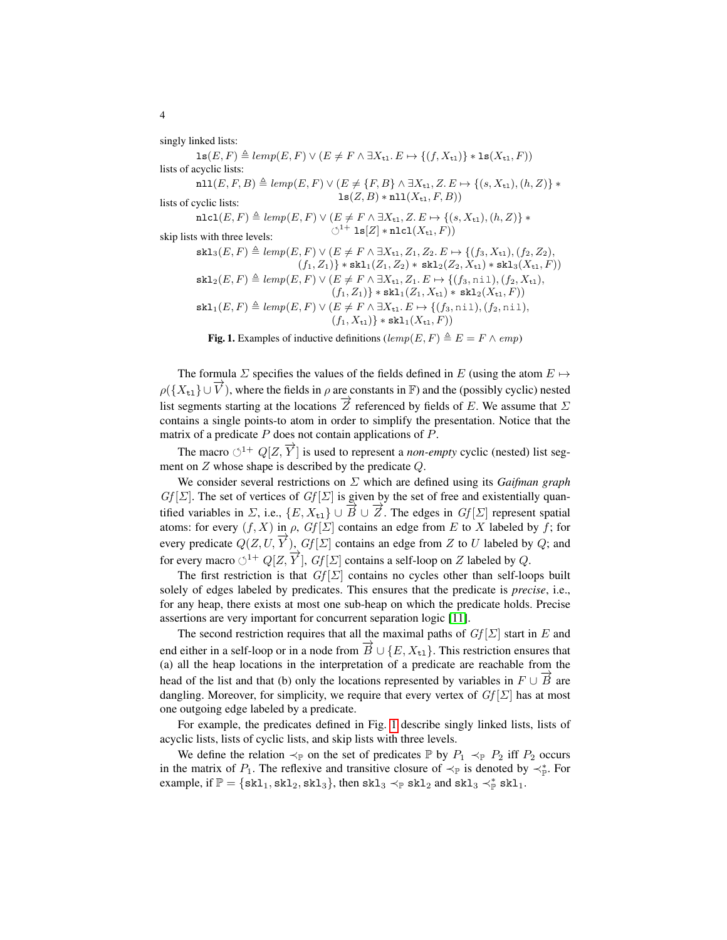singly linked lists:

 $\text{ls}(E, F) \triangleq \text{temp}(E, F) \vee (E \neq F \wedge \exists X_{t1}. E \mapsto \{(f, X_{t1})\} * \text{ls}(X_{t1}, F))$ lists of acyclic lists:  $\texttt{nil}(E, F, B) \triangleq \textit{temp}(E, F) \vee (E \neq \{F, B\} \wedge \exists X_{t1}, Z, E \mapsto \{(s, X_{t1}), (h, Z)\} *$ lists of cyclic lists:  $\text{ls}(Z, B) * \text{nll}(X_{t1}, F, B))$  $\texttt{nlcl}(E, F) \triangleq \textit{temp}(E, F) \vee (E \neq F \wedge \exists X_{t1}, Z. E \mapsto \{(s, X_{t1}), (h, Z)\} *$ skip lists with three levels:  $\circlearrowleft^{1+} \texttt{ls}[Z] * \texttt{nlcl}(X_{t1}, F)$  $\text{skl}_3(E, F) \triangleq \text{temp}(E, F) \vee (E \neq F \wedge \exists X_{t1}, Z_1, Z_2, E \mapsto \{(f_3, X_{t1}), (f_2, Z_2),$  $(f_1, Z_1)$  \* skl $_1(Z_1, Z_2)$  \* skl $_2(Z_2, X_{t1})$  \* skl $_3(X_{t1}, F)$ )  $\texttt{skl}_2(E, F) \triangleq \textit{temp}(E, F) \vee (E \neq F \wedge \exists X_{t1}, Z_1. E \mapsto \{(f_3, \texttt{nil}), (f_2, X_{t1}),$  $(f_1, Z_1)$  \* skl $_1(Z_1, X_{t1})$  \* skl $_2(X_{t1}, F)$ )  $\texttt{skl}_1(E, F) \triangleq \textit{temp}(E, F) \vee (E \neq F \wedge \exists X_{\texttt{tl}}. E \mapsto \{(f_3, \texttt{nil}), (f_2, \texttt{nil}),$  $(f_1, X_{t1})$  \* skl $_1(X_{t1}, F)$ )

<span id="page-3-0"></span>**Fig. 1.** Examples of inductive definitions  $(\text{temp}(E, F) \triangleq E = F \wedge \text{emp})$ 

The formula  $\Sigma$  specifies the values of the fields defined in E (using the atom  $E \mapsto$  $\rho({X_{t1}} \cup \overrightarrow{V})$ , where the fields in  $\rho$  are constants in F) and the (possibly cyclic) nested List segments starting at the locations  $\overrightarrow{Z}$  referenced by fields of E. We assume that  $\Sigma$ contains a single points-to atom in order to simplify the presentation. Notice that the matrix of a predicate  $P$  does not contain applications of  $P$ .

The macro  $\circlearrowleft^{1+} Q[Z, \overrightarrow{Y}]$  is used to represent a *non-empty* cyclic (nested) list segment on Z whose shape is described by the predicate Q.

We consider several restrictions on Σ which are defined using its *Gaifman graph*  $Gf[\Sigma]$ . The set of vertices of  $Gf[\Sigma]$  is given by the set of free and existentially quantified variables in  $\Sigma$ , i.e.,  $\{E, X_{t1}\} \cup \overrightarrow{B} \cup \overrightarrow{Z}$ . The edges in  $Gf[\Sigma]$  represent spatial atoms: for every  $(f, X)$  in  $\rho$ ,  $Gf[\Sigma]$  contains an edge from E to X labeled by f; for every predicate  $Q(Z, U, \overrightarrow{Y})$ ,  $Gf[\Sigma]$  contains an edge from Z to U labeled by Q; and for every macro  $\circlearrowleft^{1+} Q[Z, \overrightarrow{Y}]$ ,  $Gf[\Sigma]$  contains a self-loop on Z labeled by Q.

The first restriction is that  $Gf[\Sigma]$  contains no cycles other than self-loops built solely of edges labeled by predicates. This ensures that the predicate is *precise*, i.e., for any heap, there exists at most one sub-heap on which the predicate holds. Precise assertions are very important for concurrent separation logic [\[11\]](#page-19-6).

The second restriction requires that all the maximal paths of  $Gf[\Sigma]$  start in E and end either in a self-loop or in a node from  $\vec{B} \cup \{E, X_{t1}\}\$ . This restriction ensures that (a) all the heap locations in the interpretation of a predicate are reachable from the head of the list and that (b) only the locations represented by variables in  $F \cup \overrightarrow{B}$  are dangling. Moreover, for simplicity, we require that every vertex of  $Gf[\Sigma]$  has at most one outgoing edge labeled by a predicate.

For example, the predicates defined in Fig. [1](#page-3-0) describe singly linked lists, lists of acyclic lists, lists of cyclic lists, and skip lists with three levels.

We define the relation  $\prec_{\mathbb{P}}$  on the set of predicates  $\mathbb{P}$  by  $P_1 \prec_{\mathbb{P}} P_2$  iff  $P_2$  occurs in the matrix of  $P_1$ . The reflexive and transitive closure of  $\prec_{\mathbb{P}}$  is denoted by  $\prec_{\mathbb{P}}^*$ . For example, if  $\mathbb{P} = \{ \texttt{skl}_1, \texttt{skl}_2, \texttt{skl}_3 \}$ , then  $\texttt{skl}_3 \prec_{\mathbb{P}} \texttt{skl}_2$  and  $\texttt{skl}_3 \prec_{\mathbb{P}}^* \texttt{skl}_1$ .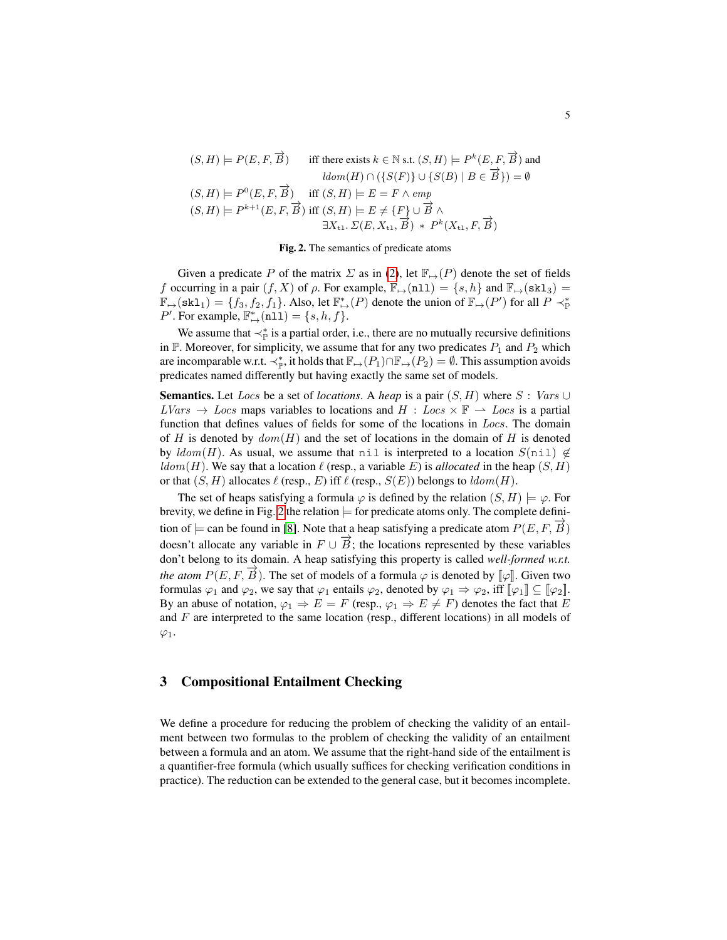$$
(S, H) \models P(E, F, \overrightarrow{B})
$$
 iff there exists  $k \in \mathbb{N}$  s.t.  $(S, H) \models P^k(E, F, \overrightarrow{B})$  and  
\n
$$
ldom(H) \cap (\{S(F)\} \cup \{S(B) \mid B \in \overrightarrow{B}\}) = \emptyset
$$
\n
$$
(S, H) \models P^0(E, F, \overrightarrow{B})
$$
 iff  $(S, H) \models E = F \land emp$   
\n
$$
(S, H) \models P^{k+1}(E, F, \overrightarrow{B})
$$
 iff  $(S, H) \models E \neq \{F\} \cup \overrightarrow{B} \land \exists X_{t1} \ldots \subseteq (E, X_{t1}, \overrightarrow{B}) \ast P^k(X_{t1}, F, \overrightarrow{B})$ 

#### <span id="page-4-0"></span>Fig. 2. The semantics of predicate atoms

Given a predicate P of the matrix  $\Sigma$  as in [\(2\)](#page-2-0), let  $\mathbb{F}_{\mapsto}(P)$  denote the set of fields f occurring in a pair  $(f, X)$  of  $\rho$ . For example,  $\mathbb{F}_{\mapsto}(\texttt{nll}) = \{s, h\}$  and  $\mathbb{F}_{\mapsto}(\texttt{skl}_3) =$  $\mathbb{F}_{\mapsto}(\text{skl}_1) = \{f_3, f_2, f_1\}.$  Also, let  $\mathbb{F}_{\mapsto}^*(P)$  denote the union of  $\mathbb{F}_{\mapsto}(P')$  for all  $P \prec_{\mathbb{P}}^*$ P'. For example,  $\mathbb{F}_{\mapsto}^*(n11) = \{s, h, f\}.$ 

We assume that  $\prec_{\mathbb{P}}^*$  is a partial order, i.e., there are no mutually recursive definitions in P. Moreover, for simplicity, we assume that for any two predicates  $P_1$  and  $P_2$  which are incomparable w.r.t.  $\prec_{\mathbb{P}}^*$ , it holds that  $\mathbb{F}_{\mapsto}(P_1) \cap \mathbb{F}_{\mapsto}(P_2) = \emptyset$ . This assumption avoids predicates named differently but having exactly the same set of models.

Semantics. Let *Locs* be a set of *locations*. A *heap* is a pair  $(S, H)$  where S : Vars ∪  $LVars \rightarrow Locs$  maps variables to locations and  $H : Locs \times \mathbb{F} \rightarrow Locs$  is a partial function that defines values of fields for some of the locations in Locs. The domain of H is denoted by  $dom(H)$  and the set of locations in the domain of H is denoted by  $ldom(H)$ . As usual, we assume that nil is interpreted to a location  $S(nil) \notin$  $ldom(H)$ . We say that a location  $\ell$  (resp., a variable E) is *allocated* in the heap  $(S, H)$ or that  $(S, H)$  allocates  $\ell$  (resp., E) iff  $\ell$  (resp.,  $S(E)$ ) belongs to  $ldom(H)$ .

The set of heaps satisfying a formula  $\varphi$  is defined by the relation  $(S, H) \models \varphi$ . For brevity, we define in Fig. [2](#page-4-0) the relation  $\models$  for predicate atoms only. The complete definition of  $\models$  can be found in [\[8\]](#page-19-7). Note that a heap satisfying a predicate atom  $P(E, F, \overrightarrow{B})$ doesn't allocate any variable in  $F \cup \overrightarrow{B}$ ; the locations represented by these variables don't belong to its domain. A heap satisfying this property is called *well-formed w.r.t. the atom P(E, F,*  $\overrightarrow{B}$ *).* The set of models of a formula  $\varphi$  is denoted by  $[\varphi]$ . Given two formulas  $\varphi_1$  and  $\varphi_2$ , we say that  $\varphi_1$  entails  $\varphi_2$ , denoted by  $\varphi_1 \Rightarrow \varphi_2$ , iff  $[\![\varphi_1]\!] \subseteq [\![\varphi_2]\!]$ . By an abuse of notation,  $\varphi_1 \Rightarrow E = F$  (resp.,  $\varphi_1 \Rightarrow E \neq F$ ) denotes the fact that E and  $F$  are interpreted to the same location (resp., different locations) in all models of  $\varphi_1$ .

# 3 Compositional Entailment Checking

We define a procedure for reducing the problem of checking the validity of an entailment between two formulas to the problem of checking the validity of an entailment between a formula and an atom. We assume that the right-hand side of the entailment is a quantifier-free formula (which usually suffices for checking verification conditions in practice). The reduction can be extended to the general case, but it becomes incomplete.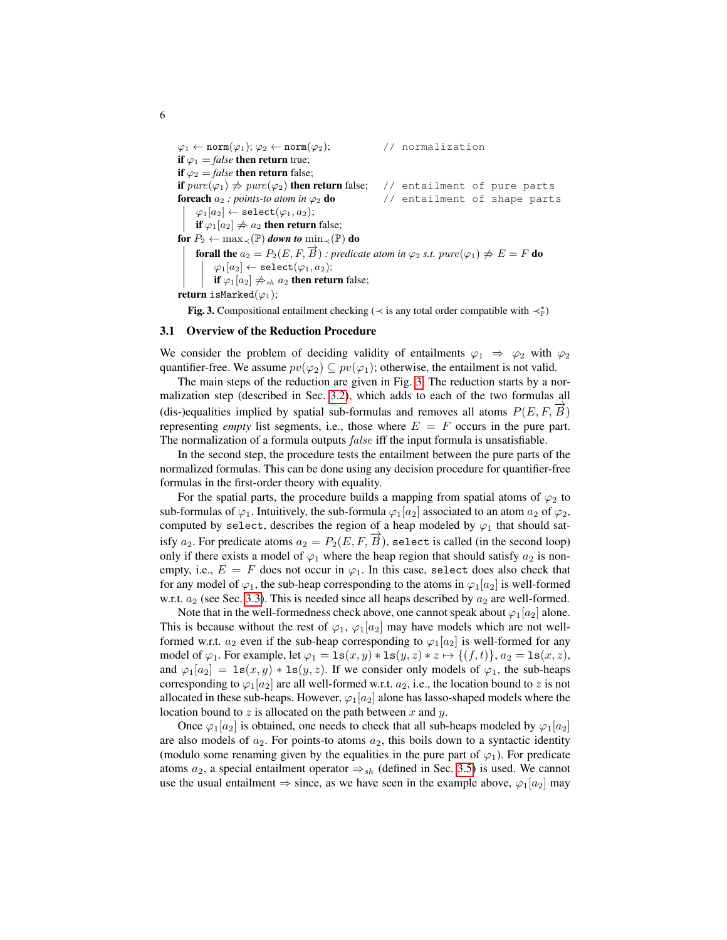$\varphi_1 \leftarrow \texttt{norm}(\varphi_1); \varphi_2 \leftarrow \texttt{norm}(\varphi_2);$  // normalization **if**  $\varphi_1$  = *false* **then return** true; if  $\varphi_2$  = *false* then return false; if  $pure(\varphi_1) \neq pure(\varphi_2)$  then return false; // entailment of pure parts **foreach**  $a_2$  *: points-to atom in*  $\varphi_2$  **do** // entailment of shape parts  $\varphi_1[a_2] \leftarrow \mathtt{select}(\varphi_1, a_2);$ **if**  $\varphi_1[a_2]$   $\neq a_2$  **then return** false; for  $P_2 \leftarrow \max_{\prec}(\mathbb{P})$  *down to*  $\min_{\prec}(\mathbb{P})$  do forall the  $a_2 = P_2(E, F, \overrightarrow{B})$  *: predicate atom in*  $\varphi_2$  *s.t.*  $pure(\varphi_1) \nRightarrow E = F$  do  $\varphi_1[a_2] \leftarrow \texttt{select}(\varphi_1, a_2);$ if  $\varphi_1[a_2] \neq_{sh} a_2$  then return false; **return** isMarked $(\varphi_1)$ ;

<span id="page-5-0"></span>Fig. 3. Compositional entailment checking ( $\prec$  is any total order compatible with  $\prec_{\mathbb{P}}^*$ )

### 3.1 Overview of the Reduction Procedure

We consider the problem of deciding validity of entailments  $\varphi_1 \Rightarrow \varphi_2$  with  $\varphi_2$ quantifier-free. We assume  $pv(\varphi_2) \subseteq pv(\varphi_1)$ ; otherwise, the entailment is not valid.

The main steps of the reduction are given in Fig. [3.](#page-5-0) The reduction starts by a normalization step (described in Sec. [3.2\)](#page-6-0), which adds to each of the two formulas all (dis-)equalities implied by spatial sub-formulas and removes all atoms  $P(E, F, \overrightarrow{B})$ representing *empty* list segments, i.e., those where  $E = F$  occurs in the pure part. The normalization of a formula outputs *false* iff the input formula is unsatisfiable.

In the second step, the procedure tests the entailment between the pure parts of the normalized formulas. This can be done using any decision procedure for quantifier-free formulas in the first-order theory with equality.

For the spatial parts, the procedure builds a mapping from spatial atoms of  $\varphi_2$  to sub-formulas of  $\varphi_1$ . Intuitively, the sub-formula  $\varphi_1[a_2]$  associated to an atom  $a_2$  of  $\varphi_2$ , computed by select, describes the region of a heap modeled by  $\varphi_1$  that should satisfy  $a_2$ . For predicate atoms  $a_2 = P_2(E, F, \overrightarrow{B})$ , select is called (in the second loop) only if there exists a model of  $\varphi_1$  where the heap region that should satisfy  $a_2$  is nonempty, i.e.,  $E = F$  does not occur in  $\varphi_1$ . In this case, select does also check that for any model of  $\varphi_1$ , the sub-heap corresponding to the atoms in  $\varphi_1|a_2|$  is well-formed w.r.t.  $a_2$  (see Sec. [3.3\)](#page-8-0). This is needed since all heaps described by  $a_2$  are well-formed.

Note that in the well-formedness check above, one cannot speak about  $\varphi_1[a_2]$  alone. This is because without the rest of  $\varphi_1$ ,  $\varphi_1[a_2]$  may have models which are not wellformed w.r.t.  $a_2$  even if the sub-heap corresponding to  $\varphi_1[a_2]$  is well-formed for any model of  $\varphi_1$ . For example, let  $\varphi_1 = \text{ls}(x, y) * \text{ls}(y, z) * z \mapsto \{(f, t)\}, a_2 = \text{ls}(x, z),$ and  $\varphi_1[a_2] = \ln(x, y) * \ln(y, z)$ . If we consider only models of  $\varphi_1$ , the sub-heaps corresponding to  $\varphi_1[a_2]$  are all well-formed w.r.t.  $a_2$ , i.e., the location bound to z is not allocated in these sub-heaps. However,  $\varphi_1[a_2]$  alone has lasso-shaped models where the location bound to  $z$  is allocated on the path between  $x$  and  $y$ .

Once  $\varphi_1[a_2]$  is obtained, one needs to check that all sub-heaps modeled by  $\varphi_1[a_2]$ are also models of  $a_2$ . For points-to atoms  $a_2$ , this boils down to a syntactic identity (modulo some renaming given by the equalities in the pure part of  $\varphi_1$ ). For predicate atoms  $a_2$ , a special entailment operator  $\Rightarrow_{sh}$  (defined in Sec. [3.5\)](#page-10-0) is used. We cannot use the usual entailment  $\Rightarrow$  since, as we have seen in the example above,  $\varphi_1[a_2]$  may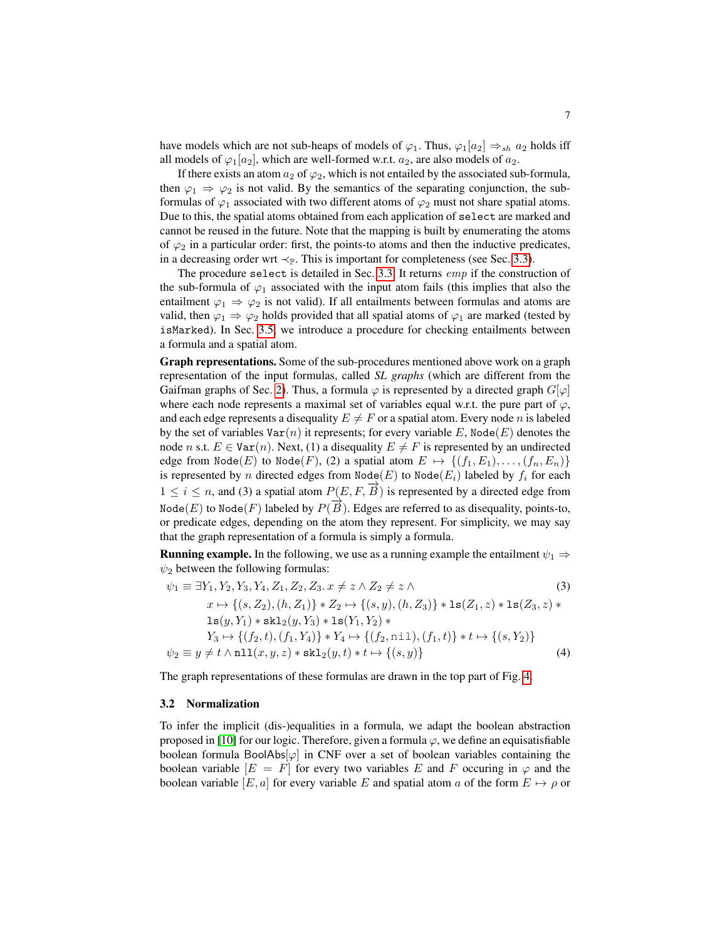have models which are not sub-heaps of models of  $\varphi_1$ . Thus,  $\varphi_1|a_2| \Rightarrow_{sh} a_2$  holds iff all models of  $\varphi_1[a_2]$ , which are well-formed w.r.t.  $a_2$ , are also models of  $a_2$ .

If there exists an atom  $a_2$  of  $\varphi_2$ , which is not entailed by the associated sub-formula, then  $\varphi_1 \Rightarrow \varphi_2$  is not valid. By the semantics of the separating conjunction, the subformulas of  $\varphi_1$  associated with two different atoms of  $\varphi_2$  must not share spatial atoms. Due to this, the spatial atoms obtained from each application of select are marked and cannot be reused in the future. Note that the mapping is built by enumerating the atoms of  $\varphi_2$  in a particular order: first, the points-to atoms and then the inductive predicates, in a decreasing order wrt  $\prec_{\mathbb{P}}$ . This is important for completeness (see Sec. [3.3\)](#page-8-0).

The procedure select is detailed in Sec. [3.3.](#page-8-0) It returns emp if the construction of the sub-formula of  $\varphi_1$  associated with the input atom fails (this implies that also the entailment  $\varphi_1 \Rightarrow \varphi_2$  is not valid). If all entailments between formulas and atoms are valid, then  $\varphi_1 \Rightarrow \varphi_2$  holds provided that all spatial atoms of  $\varphi_1$  are marked (tested by isMarked). In Sec. [3.5,](#page-10-0) we introduce a procedure for checking entailments between a formula and a spatial atom.

Graph representations. Some of the sub-procedures mentioned above work on a graph representation of the input formulas, called *SL graphs* (which are different from the Gaifman graphs of Sec. [2\)](#page-2-1). Thus, a formula  $\varphi$  is represented by a directed graph  $G[\varphi]$ where each node represents a maximal set of variables equal w.r.t. the pure part of  $\varphi$ , and each edge represents a disequality  $E \neq F$  or a spatial atom. Every node n is labeled by the set of variables  $Var(n)$  it represents; for every variable E, Node(E) denotes the node n s.t.  $E \in \text{Var}(n)$ . Next, (1) a disequality  $E \neq F$  is represented by an undirected edge from Node(E) to Node(F), (2) a spatial atom  $E \mapsto \{(f_1, E_1), \ldots, (f_n, E_n)\}\$ is represented by n directed edges from  $\text{Node}(E)$  to  $\text{Node}(E_i)$  labeled by  $f_i$  for each  $1 \le i \le n$ , and (3) a spatial atom  $P(E, F, \overrightarrow{B})$  is represented by a directed edge from Node(E) to Node(F) labeled by  $P(\overrightarrow{B})$ . Edges are referred to as disequality, points-to, or predicate edges, depending on the atom they represent. For simplicity, we may say that the graph representation of a formula is simply a formula.

**Running example.** In the following, we use as a running example the entailment  $\psi_1 \Rightarrow$  $\psi_2$  between the following formulas:

<span id="page-6-1"></span>
$$
\psi_1 \equiv \exists Y_1, Y_2, Y_3, Y_4, Z_1, Z_2, Z_3. x \neq z \land Z_2 \neq z \land (3)
$$
  
\n
$$
x \mapsto \{(s, Z_2), (h, Z_1)\} * Z_2 \mapsto \{(s, y), (h, Z_3)\} * \mathbf{ls}(Z_1, z) * \mathbf{ls}(Z_3, z) *\n\mathbf{ls}(y, Y_1) * \mathbf{skl}_2(y, Y_3) * \mathbf{ls}(Y_1, Y_2) *\nY_3 \mapsto \{(f_2, t), (f_1, Y_4)\} * Y_4 \mapsto \{(f_2, \text{nil}), (f_1, t)\} * t \mapsto \{(s, Y_2)\}\n\psi_2 \equiv y \neq t \land \mathbf{nll}(x, y, z) * \mathbf{skl}_2(y, t) * t \mapsto \{(s, y)\}
$$
\n(4)

The graph representations of these formulas are drawn in the top part of Fig. [4.](#page-7-0)

#### <span id="page-6-0"></span>3.2 Normalization

To infer the implicit (dis-)equalities in a formula, we adapt the boolean abstraction proposed in [\[10\]](#page-19-8) for our logic. Therefore, given a formula  $\varphi$ , we define an equisatisfiable boolean formula BoolAbs $[\varphi]$  in CNF over a set of boolean variables containing the boolean variable  $[E = F]$  for every two variables E and F occuring in  $\varphi$  and the boolean variable [E, a] for every variable E and spatial atom a of the form  $E \mapsto \rho$  or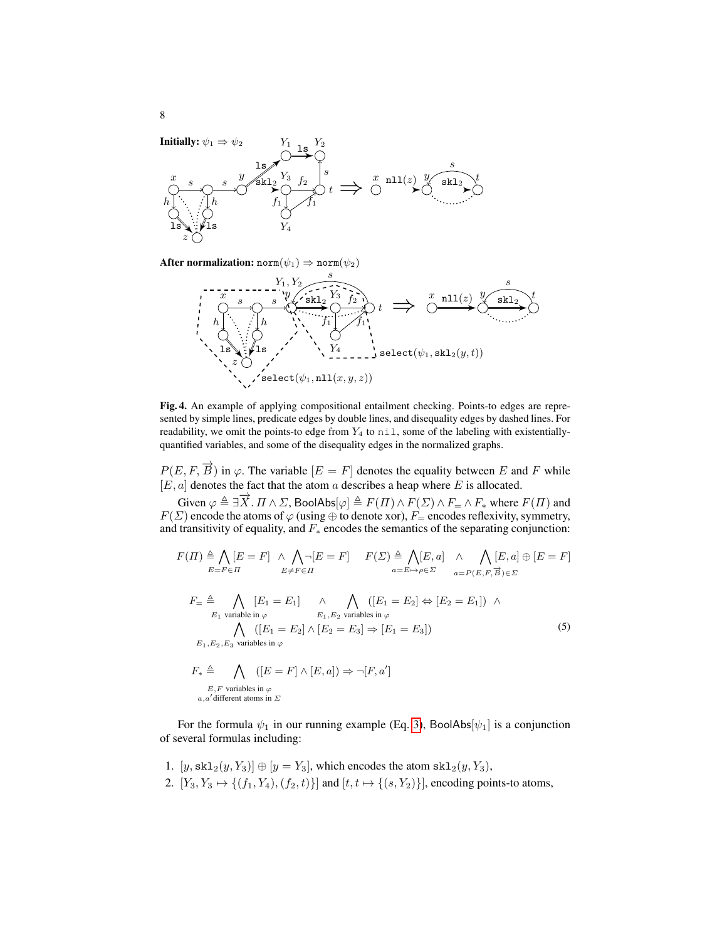

After normalization:  $norm(\psi_1) \Rightarrow norm(\psi_2)$ 



<span id="page-7-0"></span>Fig. 4. An example of applying compositional entailment checking. Points-to edges are represented by simple lines, predicate edges by double lines, and disequality edges by dashed lines. For readability, we omit the points-to edge from  $Y_4$  to  $n \in \mathbb{N}$ , some of the labeling with existentiallyquantified variables, and some of the disequality edges in the normalized graphs.

 $P(E, F, \overrightarrow{B})$  in  $\varphi$ . The variable  $[E = F]$  denotes the equality between E and F while  $[E, a]$  denotes the fact that the atom a describes a heap where E is allocated.

Given  $\varphi \triangleq \exists \overline{X}$ .  $\Pi \wedge \Sigma$ , BoolAbs $[\varphi] \triangleq F(\Pi) \wedge F(\Sigma) \wedge F_{\equiv} \wedge F_{*}$  where  $F(\Pi)$  and  $F(\Sigma)$  encode the atoms of  $\varphi$  (using  $\oplus$  to denote xor),  $F_{=}$  encodes reflexivity, symmetry, and transitivity of equality, and  $F_*$  encodes the semantics of the separating conjunction:

$$
F(\Pi) \triangleq \bigwedge_{E=F \in \Pi} [E = F] \wedge \bigwedge_{E \neq F \in \Pi} [E = F] \qquad F(\Sigma) \triangleq \bigwedge_{a=E \mapsto \rho \in \Sigma} [E, a] \wedge \bigwedge_{a=P(E, F, \overrightarrow{B}) \in \Sigma} [E = F]
$$
\n
$$
F_{-} \triangleq \bigwedge_{E_1 = E_1} [E_1 = E_1] \wedge \bigwedge_{E_2 = E_2} [E_2 = E_1] \wedge \bigwedge_{E_3 = E_2} [E_3 = E_1] \wedge \bigwedge_{E_4 = E_2} [E_4 = E_2] \wedge [E_5 = E_1] \wedge \bigwedge_{E_5 = E_4} [E_6 = E_2] \wedge [E_7 = E_3] \wedge [E_7 = E_4] \wedge [E_8 = E_5] \wedge [E_9 = E_6] \wedge [E_1 = E_7] \wedge [E_1 = E_8] \wedge [E_1 = E_9] \wedge [E_1 = E_9] \wedge [E_1 = E_1] \wedge [E_1 = E_1] \wedge [E_1 = E_2] \wedge [E_2 = E_1] \wedge [E_3 = E_1] \wedge [E_4 = E_2] \wedge [E_4 = E_3] \wedge [E_5 = E_4] \wedge [E_6 = E_5] \wedge [E_7 = E_6] \wedge [E_7 = E_7] \wedge [E_8 = E_7] \wedge [E_9 = E_8] \wedge [E_9 = E_9] \wedge [E_1 = E_1] \wedge [E_1 = E_2] \wedge [E_1 = E_3] \wedge [E_1 = E_4] \wedge [E_1 = E_5] \wedge [E_2 = E_6] \wedge [E_1 = E_7] \wedge [E_1 = E_8] \wedge [E_1 = E_9] \wedge [E_1 = E_9] \wedge [E_1 = E_1] \wedge [E_1 = E_2] \wedge [E_2 = E_3] \wedge [E_1 = E_4] \wedge [E_1 = E_5] \wedge [E_1 = E_6] \wedge [E_1 = E_7] \wedge [E_1 = E_8] \wedge [E_2 = E_9] \wedge [E_1 =
$$

$$
F_{=} \triangleq \bigwedge_{E_1 \text{ variable in } \varphi} [E_1 = E_1] \qquad \wedge \qquad \bigwedge_{E_1, E_2 \text{ variables in } \varphi} ([E_1 = E_2] \Leftrightarrow [E_2 = E_1]) \qquad \wedge \qquad \bigwedge_{E_1, E_2, E_3 \text{ variables in } \varphi} ([E_1 = E_2] \wedge [E_2 = E_3] \Rightarrow [E_1 = E_3])
$$
\n
$$
(5)
$$
\n
$$
E_1, E_2, E_3 \text{ variables in } \varphi
$$

$$
F_* \triangleq \bigwedge_{E,F \text{ variables in } \varphi} ([E = F] \wedge [E, a]) \Rightarrow \neg [F, a']
$$
  

$$
E, F \text{ variables in } \varphi
$$
  

$$
a, a' \text{ different atoms in } \varSigma
$$

For the formula  $\psi_1$  in our running example (Eq. [3\)](#page-6-1), BoolAbs[ $\psi_1$ ] is a conjunction of several formulas including:

- 1.  $[y, skl_2(y, Y_3)] \oplus [y = Y_3]$ , which encodes the atom  $skl_2(y, Y_3)$ ,
- 2.  $[Y_3, Y_3 \mapsto \{(f_1, Y_4), (f_2, t)\}]$  and  $[t, t \mapsto \{(s, Y_2)\}]$ , encoding points-to atoms,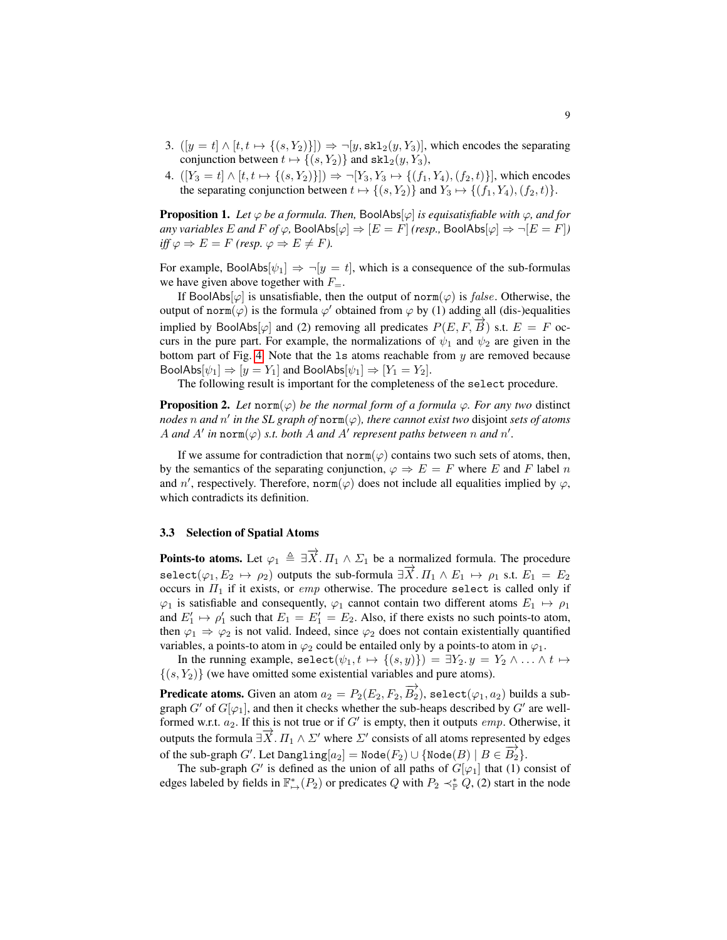- 3.  $([y = t] \wedge [t, t \mapsto \{(s, Y_2)\}]) \Rightarrow \neg [y, \text{skl}_2(y, Y_3)],$  which encodes the separating conjunction between  $t \mapsto \{(s, Y_2)\}\$ and skl<sub>2</sub> $(y, Y_3)$ ,
- 4.  $([Y_3 = t] \wedge [t, t \mapsto \{(s, Y_2)\}]) \Rightarrow \neg [Y_3, Y_3 \mapsto \{(f_1, Y_4), (f_2, t)\}],$  which encodes the separating conjunction between  $t \mapsto \{(s, Y_2)\}\$ and  $Y_3 \mapsto \{(f_1, Y_4), (f_2, t)\}.$

**Proposition 1.** Let  $\varphi$  be a formula. Then, BoolAbs $[\varphi]$  *is equisatisfiable with*  $\varphi$ *, and for any variables* E and F of  $\varphi$ , BoolAbs $[\varphi] \Rightarrow [E = F]$  *(resp.,* BoolAbs $[\varphi] \Rightarrow \neg [E = F]$ *)*  $iff \varphi \Rightarrow E = F$  (resp.  $\varphi \Rightarrow E \neq F$ ).

For example, BoolAbs $[\psi_1] \Rightarrow \neg [y = t]$ , which is a consequence of the sub-formulas we have given above together with  $F_{-}$ .

If BoolAbs[ $\varphi$ ] is unsatisfiable, then the output of norm $(\varphi)$  is *false*. Otherwise, the output of norm( $\varphi$ ) is the formula  $\varphi'$  obtained from  $\varphi$  by (1) adding all (dis-)equalities implied by BoolAbs[ $\varphi$ ] and (2) removing all predicates  $P(E, F, \overrightarrow{B})$  s.t.  $E = F$  occurs in the pure part. For example, the normalizations of  $\psi_1$  and  $\psi_2$  are given in the bottom part of Fig. [4.](#page-7-0) Note that the 1s atoms reachable from  $y$  are removed because BoolAbs $[\psi_1] \Rightarrow [y = Y_1]$  and BoolAbs $[\psi_1] \Rightarrow [Y_1 = Y_2]$ .

The following result is important for the completeness of the select procedure.

**Proposition 2.** Let norm $(\varphi)$  be the normal form of a formula  $\varphi$ . For any two distinct *nodes*  $n$  *and*  $n'$  *in the SL graph of*  $\texttt{norm}(\varphi)$ *, there cannot exist two disjoint sets of atoms* A and A' in  $\text{norm}(\varphi)$  *s.t. both* A and A' represent paths between n and n'.

If we assume for contradiction that  $norm(\varphi)$  contains two such sets of atoms, then, by the semantics of the separating conjunction,  $\varphi \Rightarrow E = F$  where E and F label n and n', respectively. Therefore, norm( $\varphi$ ) does not include all equalities implied by  $\varphi$ , which contradicts its definition.

### <span id="page-8-0"></span>3.3 Selection of Spatial Atoms

**Points-to atoms.** Let  $\varphi_1 \triangleq \exists \vec{X}$ .  $\Pi_1 \wedge \Sigma_1$  be a normalized formula. The procedure select( $\varphi_1$ ,  $E_2 \mapsto \varphi_2$ ) outputs the sub-formula  $\exists \vec{X}$ .  $\Pi_1 \wedge E_1 \mapsto \varphi_1$  s.t.  $E_1 = E_2$ occurs in  $\Pi_1$  if it exists, or *emp* otherwise. The procedure select is called only if  $\varphi_1$  is satisfiable and consequently,  $\varphi_1$  cannot contain two different atoms  $E_1 \mapsto \rho_1$ and  $E'_1 \mapsto \rho'_1$  such that  $E_1 = E'_1 = E_2$ . Also, if there exists no such points-to atom, then  $\varphi_1 \Rightarrow \varphi_2$  is not valid. Indeed, since  $\varphi_2$  does not contain existentially quantified variables, a points-to atom in  $\varphi_2$  could be entailed only by a points-to atom in  $\varphi_1$ .

In the running example,  $\text{select}(\psi_1, t \mapsto \{(s, y)\}) = \exists Y_2 \cdot y = Y_2 \wedge \ldots \wedge t \mapsto$  $\{(s, Y_2)\}\$  (we have omitted some existential variables and pure atoms).

**Predicate atoms.** Given an atom  $a_2 = P_2(E_2, F_2, \overrightarrow{B_2})$ , select $(\varphi_1, a_2)$  builds a subgraph G' of  $G[\varphi_1]$ , and then it checks whether the sub-heaps described by G' are wellformed w.r.t.  $a_2$ . If this is not true or if G' is empty, then it outputs emp. Otherwise, it outputs the formula  $\exists \overrightarrow{X}$ . Π<sub>1</sub>  $\wedge$  Σ' where Σ' consists of all atoms represented by edges of the sub-graph G'. Let  $\text{Dangling}[a_2] = \text{Node}(F_2) \cup \{\text{Node}(B) \mid B \in \overrightarrow{B_2}\}.$ 

The sub-graph G' is defined as the union of all paths of  $G[\varphi_1]$  that (1) consist of edges labeled by fields in  $\mathbb{F}^*_{\mapsto}(P_2)$  or predicates Q with  $P_2 \prec^*_{\mathbb{P}} Q$ , (2) start in the node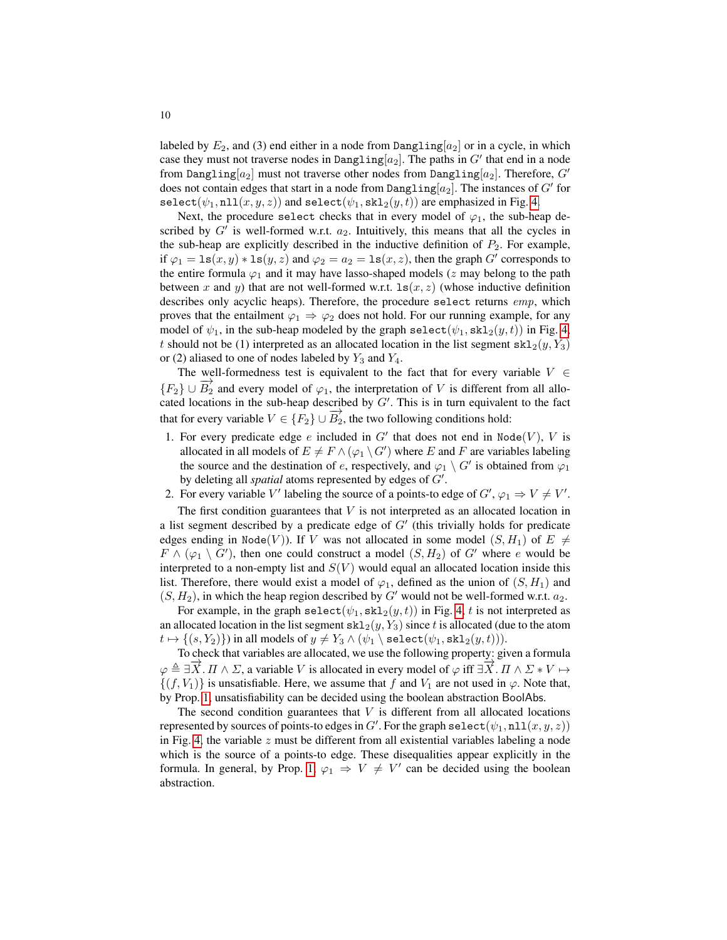labeled by  $E_2$ , and (3) end either in a node from Dangling[ $a_2$ ] or in a cycle, in which case they must not traverse nodes in Dangling $[a_2]$ . The paths in  $G'$  that end in a node from Dangling $[a_2]$  must not traverse other nodes from Dangling $[a_2]$ . Therefore,  $G'$ does not contain edges that start in a node from  $\text{Dangling}[a_2]$ . The instances of  $G'$  for select( $\psi_1$ , nll $(x, y, z)$ ) and select( $\psi_1$ , skl<sub>2</sub>( $y, t$ )) are emphasized in Fig. [4.](#page-7-0)

Next, the procedure select checks that in every model of  $\varphi_1$ , the sub-heap described by  $G'$  is well-formed w.r.t.  $a_2$ . Intuitively, this means that all the cycles in the sub-heap are explicitly described in the inductive definition of  $P_2$ . For example, if  $\varphi_1 = \text{ls}(x, y) * \text{ls}(y, z)$  and  $\varphi_2 = a_2 = \text{ls}(x, z)$ , then the graph G' corresponds to the entire formula  $\varphi_1$  and it may have lasso-shaped models ( $z$  may belong to the path between x and y) that are not well-formed w.r.t.  $\text{ls}(x, z)$  (whose inductive definition describes only acyclic heaps). Therefore, the procedure select returns emp, which proves that the entailment  $\varphi_1 \Rightarrow \varphi_2$  does not hold. For our running example, for any model of  $\psi_1$ , in the sub-heap modeled by the graph select $(\psi_1, \text{skl}_2(y, t))$  in Fig. [4,](#page-7-0) t should not be (1) interpreted as an allocated location in the list segment  $\text{skl}_2(y, Y_3)$ or (2) aliased to one of nodes labeled by  $Y_3$  and  $Y_4$ .

The well-formedness test is equivalent to the fact that for every variable  $V \in$  ${F_2} \cup \overline{B_2}$  and every model of  $\varphi_1$ , the interpretation of V is different from all allocated locations in the sub-heap described by  $G'$ . This is in turn equivalent to the fact that for every variable  $V \in \{F_2\} \cup \overline{B_2}$ , the two following conditions hold:

1. For every predicate edge  $e$  included in  $G'$  that does not end in Node(V), V is allocated in all models of  $E \neq F \wedge (\varphi_1 \setminus G')$  where E and F are variables labeling the source and the destination of e, respectively, and  $\varphi_1 \setminus G'$  is obtained from  $\varphi_1$ by deleting all *spatial* atoms represented by edges of  $G'$ .

2. For every variable V' labeling the source of a points-to edge of  $G', \varphi_1 \Rightarrow V \neq V'$ .

The first condition guarantees that  $V$  is not interpreted as an allocated location in a list segment described by a predicate edge of  $G'$  (this trivially holds for predicate edges ending in Node(V)). If V was not allocated in some model  $(S, H_1)$  of  $E \neq$  $F \wedge (\varphi_1 \setminus G')$ , then one could construct a model  $(S, H_2)$  of  $G'$  where e would be interpreted to a non-empty list and  $S(V)$  would equal an allocated location inside this list. Therefore, there would exist a model of  $\varphi_1$ , defined as the union of  $(S, H_1)$  and  $(S, H_2)$ , in which the heap region described by G' would not be well-formed w.r.t.  $a_2$ .

For example, in the graph select( $(\psi_1, skl_2(y, t))$  in Fig. [4,](#page-7-0) t is not interpreted as an allocated location in the list segment  $\text{skl}_2(y, Y_3)$  since t is allocated (due to the atom  $t \mapsto \{(s, Y_2)\}\)$  in all models of  $y \neq Y_3 \wedge (\psi_1 \setminus \{set(\psi_1, \text{skl}_2(y, t))\}).$ 

To check that variables are allocated, we use the following property: given a formula  $\varphi \triangleq \exists \overrightarrow{X}$ .  $\Pi \wedge \Sigma$ , a variable V is allocated in every model of  $\varphi$  iff  $\exists \overrightarrow{X}$ .  $\Pi \wedge \Sigma * V \mapsto$  $\{(f, V_1)\}\$ is unsatisfiable. Here, we assume that f and  $V_1$  are not used in  $\varphi$ . Note that, by Prop. [1,](#page-0-0) unsatisfiability can be decided using the boolean abstraction BoolAbs.

The second condition guarantees that  $V$  is different from all allocated locations represented by sources of points-to edges in  $G'$ . For the graph select  $(\psi_1, \texttt{nll}(x, y, z))$ in Fig. [4,](#page-7-0) the variable  $z$  must be different from all existential variables labeling a node which is the source of a points-to edge. These disequalities appear explicitly in the formula. In general, by Prop. [1,](#page-0-0)  $\varphi_1 \Rightarrow V \neq V'$  can be decided using the boolean abstraction.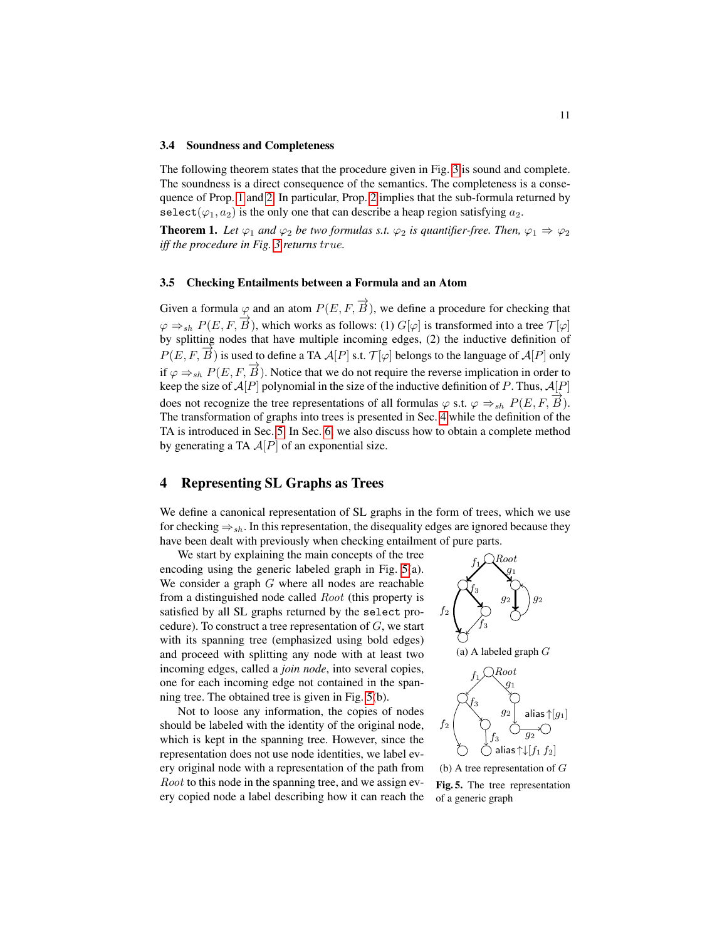#### 3.4 Soundness and Completeness

The following theorem states that the procedure given in Fig. [3](#page-5-0) is sound and complete. The soundness is a direct consequence of the semantics. The completeness is a consequence of Prop. [1](#page-0-0) and [2.](#page-0-0) In particular, Prop. [2](#page-0-0) implies that the sub-formula returned by select( $\varphi_1, a_2$ ) is the only one that can describe a heap region satisfying  $a_2$ .

**Theorem 1.** Let  $\varphi_1$  and  $\varphi_2$  be two formulas s.t.  $\varphi_2$  is quantifier-free. Then,  $\varphi_1 \Rightarrow \varphi_2$ *iff the procedure in Fig. [3](#page-5-0) returns* true*.*

#### <span id="page-10-0"></span>3.5 Checking Entailments between a Formula and an Atom

Given a formula  $\varphi$  and an atom  $P(E, F, \overrightarrow{B})$ , we define a procedure for checking that  $\varphi \Rightarrow_{sh} P(E, F, \overrightarrow{B})$ , which works as follows: (1)  $G[\varphi]$  is transformed into a tree  $\mathcal{T}[\varphi]$ by splitting nodes that have multiple incoming edges, (2) the inductive definition of  $P(E, F, \overrightarrow{B})$  is used to define a TA  $\mathcal{A}[P]$  s.t.  $\mathcal{T}[\varphi]$  belongs to the language of  $\mathcal{A}[P]$  only if  $\varphi \Rightarrow_{sh} P(E, F, \overrightarrow{B})$ . Notice that we do not require the reverse implication in order to keep the size of  $A[P]$  polynomial in the size of the inductive definition of P. Thus,  $A[P]$ does not recognize the tree representations of all formulas  $\varphi$  s.t.  $\varphi \Rightarrow_{sh} P(E, F, \overrightarrow{B})$ . The transformation of graphs into trees is presented in Sec. [4](#page-10-1) while the definition of the TA is introduced in Sec. [5.](#page-13-0) In Sec. [6,](#page-15-0) we also discuss how to obtain a complete method by generating a TA  $A[P]$  of an exponential size.

# <span id="page-10-1"></span>4 Representing SL Graphs as Trees

We define a canonical representation of SL graphs in the form of trees, which we use for checking  $\Rightarrow_{sh}$ . In this representation, the disequality edges are ignored because they have been dealt with previously when checking entailment of pure parts.

We start by explaining the main concepts of the tree encoding using the generic labeled graph in Fig. [5\(](#page-10-2)a). We consider a graph  $G$  where all nodes are reachable from a distinguished node called Root (this property is satisfied by all SL graphs returned by the select procedure). To construct a tree representation of  $G$ , we start with its spanning tree (emphasized using bold edges) and proceed with splitting any node with at least two incoming edges, called a *join node*, into several copies, one for each incoming edge not contained in the spanning tree. The obtained tree is given in Fig. [5\(](#page-10-2)b).

Not to loose any information, the copies of nodes should be labeled with the identity of the original node, which is kept in the spanning tree. However, since the representation does not use node identities, we label every original node with a representation of the path from Root to this node in the spanning tree, and we assign every copied node a label describing how it can reach the



<span id="page-10-2"></span>(b) A tree representation of G Fig. 5. The tree representation of a generic graph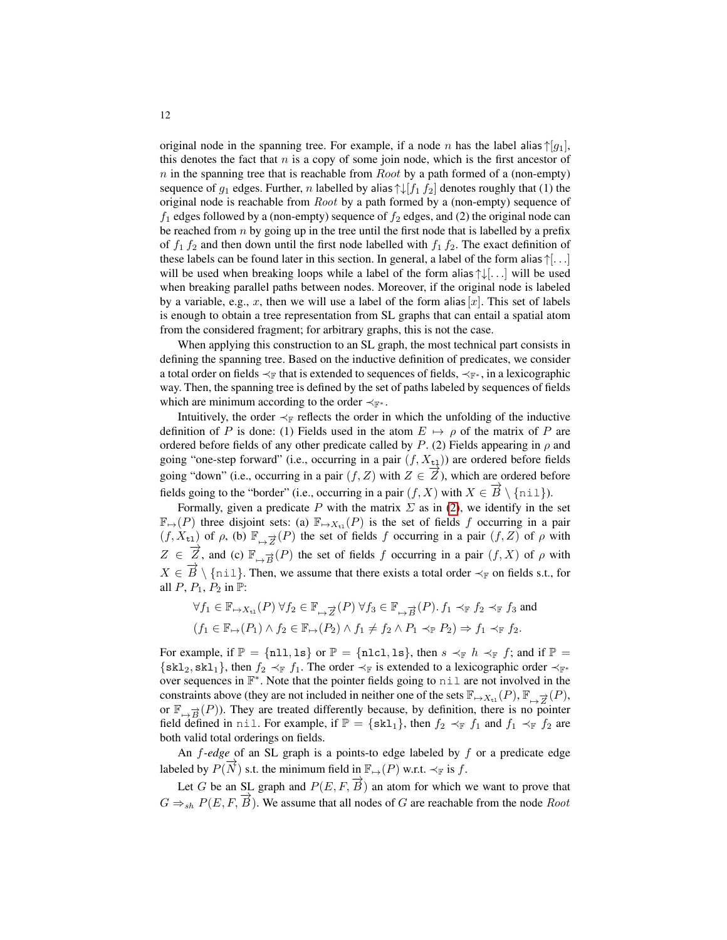original node in the spanning tree. For example, if a node n has the label alias  $\uparrow |q_1|$ , this denotes the fact that n is a copy of some join node, which is the first ancestor of  $n$  in the spanning tree that is reachable from  $Root$  by a path formed of a (non-empty) sequence of  $g_1$  edges. Further, n labelled by alias  $\uparrow \downarrow [f_1 \, f_2]$  denotes roughly that (1) the original node is reachable from Root by a path formed by a (non-empty) sequence of  $f_1$  edges followed by a (non-empty) sequence of  $f_2$  edges, and (2) the original node can be reached from  $n$  by going up in the tree until the first node that is labelled by a prefix of  $f_1$   $f_2$  and then down until the first node labelled with  $f_1$   $f_2$ . The exact definition of these labels can be found later in this section. In general, a label of the form alias  $\uparrow$ [...] will be used when breaking loops while a label of the form alias  $\uparrow \downarrow$ [...] will be used when breaking parallel paths between nodes. Moreover, if the original node is labeled by a variable, e.g., x, then we will use a label of the form alias  $[x]$ . This set of labels is enough to obtain a tree representation from SL graphs that can entail a spatial atom from the considered fragment; for arbitrary graphs, this is not the case.

When applying this construction to an SL graph, the most technical part consists in defining the spanning tree. Based on the inductive definition of predicates, we consider a total order on fields  $\prec_{\mathbb{F}}$  that is extended to sequences of fields,  $\prec_{\mathbb{F}^*}$ , in a lexicographic way. Then, the spanning tree is defined by the set of paths labeled by sequences of fields which are minimum according to the order  $\prec_{\mathbb{F}^*}$ .

Intuitively, the order  $\prec_F$  reflects the order in which the unfolding of the inductive definition of P is done: (1) Fields used in the atom  $E \mapsto \rho$  of the matrix of P are ordered before fields of any other predicate called by  $P$ . (2) Fields appearing in  $\rho$  and going "one-step forward" (i.e., occurring in a pair  $(f, X_{t_1})$ ) are ordered before fields going "down" (i.e., occurring in a pair  $(f, Z)$  with  $Z \in \overline{Z}$ ), which are ordered before fields going to the "border" (i.e., occurring in a pair  $(f, X)$  with  $X \in \overrightarrow{B} \setminus \{\text{nil}\}\)$ .

Formally, given a predicate P with the matrix  $\Sigma$  as in [\(2\)](#page-2-0), we identify in the set  $\mathbb{F}_{\mapsto}(P)$  three disjoint sets: (a)  $\mathbb{F}_{\mapsto X_{t}}(P)$  is the set of fields f occurring in a pair  $(f, X_{t_1})$  of  $\rho$ , (b)  $\mathbb{F}_{\mapsto \overrightarrow{Z}}(P)$  the set of fields f occurring in a pair  $(f, Z)$  of  $\rho$  with  $Z \in \overrightarrow{Z}$ , and (c)  $\mathbb{F}_{\rightarrow} \overrightarrow{B}(P)$  the set of fields f occurring in a pair  $(f, X)$  of  $\rho$  with  $X \in \overrightarrow{B} \setminus \{\text{nil}\}.$  Then, we assume that there exists a total order  $\prec_{\mathbb{F}}$  on fields s.t., for all  $P, P_1, P_2$  in  $\mathbb{P}$ :

$$
\forall f_1 \in \mathbb{F}_{\mapsto X_{t1}}(P) \,\forall f_2 \in \mathbb{F}_{\mapsto \overrightarrow{Z}}(P) \,\forall f_3 \in \mathbb{F}_{\mapsto \overrightarrow{B}}(P). \, f_1 \prec_{\mathbb{F}} f_2 \prec_{\mathbb{F}} f_3 \text{ and}
$$

$$
(f_1 \in \mathbb{F}_{\mapsto}(P_1) \land f_2 \in \mathbb{F}_{\mapsto}(P_2) \land f_1 \neq f_2 \land P_1 \prec_{\mathbb{F}} P_2) \Rightarrow f_1 \prec_{\mathbb{F}} f_2.
$$

For example, if  $\mathbb{P} = \{\text{nl1}, \text{ls}\}\$  or  $\mathbb{P} = \{\text{nlc1}, \text{ls}\}\$ , then  $s \prec_{\mathbb{F}} h \prec_{\mathbb{F}} f$ ; and if  $\mathbb{P} =$  $\{skl_2, skl_1\}$ , then  $f_2 \prec_{\mathbb{F}} f_1$ . The order  $\prec_{\mathbb{F}}$  is extended to a lexicographic order  $\prec_{\mathbb{F}}$ \* over sequences in  $\mathbb{F}^*$ . Note that the pointer fields going to nil are not involved in the constraints above (they are not included in neither one of the sets  $\mathbb{F}_{\mapsto X_{\text{t1}}}(P)$ ,  $\mathbb{F}_{\mapsto \overline{Z}}(P)$ , or  $\mathbb{F}_{\mapsto \overrightarrow{B}}(P)$ ). They are treated differently because, by definition, there is no pointer field defined in nil. For example, if  $\mathbb{P} = \{\text{skl}_1\}$ , then  $f_2 \prec_{\mathbb{F}} f_1$  and  $f_1 \prec_{\mathbb{F}} f_2$  are both valid total orderings on fields.

An f*-edge* of an SL graph is a points-to edge labeled by f or a predicate edge labeled by  $P(\vec{N})$  s.t. the minimum field in  $\mathbb{F}_{\mapsto}(P)$  w.r.t.  $\prec_{\mathbb{F}}$  is f.

Let G be an SL graph and  $P(E, F, \overrightarrow{B})$  an atom for which we want to prove that  $G \Rightarrow_{sh} P(E, F, \overrightarrow{B})$ . We assume that all nodes of G are reachable from the node *Root*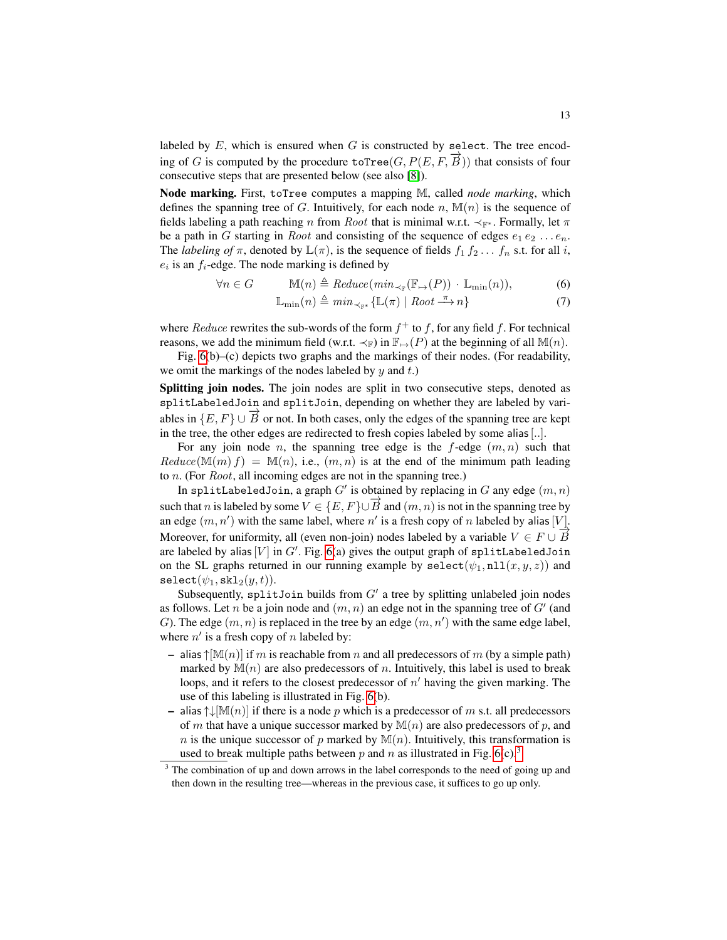labeled by  $E$ , which is ensured when  $G$  is constructed by select. The tree encoding of G is computed by the procedure toTree $(G, P(E, F, \overrightarrow{B}))$  that consists of four consecutive steps that are presented below (see also [\[8\]](#page-19-7)).

Node marking. First, toTree computes a mapping M, called *node marking*, which defines the spanning tree of G. Intuitively, for each node n,  $\mathbb{M}(n)$  is the sequence of fields labeling a path reaching n from *Root* that is minimal w.r.t.  $\prec_{\mathbb{F}^*}$ . Formally, let  $\pi$ be a path in G starting in *Root* and consisting of the sequence of edges  $e_1 e_2 \ldots e_n$ . The *labeling of*  $\pi$ , denoted by  $\mathbb{L}(\pi)$ , is the sequence of fields  $f_1 f_2 \dots f_n$  s.t. for all i,  $e_i$  is an  $f_i$ -edge. The node marking is defined by

$$
\forall n \in G \qquad \mathbb{M}(n) \triangleq Reduce(min_{\prec_{\mathbb{F}}}(\mathbb{F}_{\mapsto}(P)) \cdot \mathbb{L}_{\min}(n)), \qquad (6)
$$

$$
\mathbb{L}_{\min}(n) \triangleq \min_{\prec_{\mathbb{F}^*}} \{ \mathbb{L}(\pi) \mid \text{Root} \xrightarrow{\pi} n \}
$$
 (7)

where *Reduce* rewrites the sub-words of the form  $f^+$  to f, for any field f. For technical reasons, we add the minimum field (w.r.t.  $\prec_{\mathbb{F}}$ ) in  $\mathbb{F}_{\mapsto}(P)$  at the beginning of all M(n).

Fig. [6\(](#page-13-1)b)–(c) depicts two graphs and the markings of their nodes. (For readability, we omit the markings of the nodes labeled by  $y$  and  $t$ .)

Splitting join nodes. The join nodes are split in two consecutive steps, denoted as splitLabeledJoin and splitJoin, depending on whether they are labeled by variables in  $\{E, F\} \cup \overline{B}$  or not. In both cases, only the edges of the spanning tree are kept in the tree, the other edges are redirected to fresh copies labeled by some alias [..].

For any join node n, the spanning tree edge is the f-edge  $(m, n)$  such that  $Reduce(M(m) f) = M(n)$ , i.e.,  $(m, n)$  is at the end of the minimum path leading to n. (For Root, all incoming edges are not in the spanning tree.)

In splitLabeledJoin, a graph  $G'$  is obtained by replacing in  $G$  any edge  $(m, n)$ such that n is labeled by some  $V \in \{E, F\} \cup \overrightarrow{B}$  and  $(m, n)$  is not in the spanning tree by an edge  $(m, n')$  with the same label, where  $n'$  is a fresh copy of n labeled by alias [V]. Moreover, for uniformity, all (even non-join) nodes labeled by a variable  $V \in F \cup \overrightarrow{B}$ are labeled by alias  $[V]$  in  $G^{\prime}$ . Fig. [6\(](#page-13-1)a) gives the output graph of  $\texttt{splitLabeledJoin}$ on the SL graphs returned in our running example by  $\text{select}(\psi_1, \text{nll}(x, y, z))$  and  $\texttt{select}(\psi_1, \texttt{skl}_2(y, t)).$ 

Subsequently, splitJoin builds from  $G'$  a tree by splitting unlabeled join nodes as follows. Let *n* be a join node and  $(m, n)$  an edge not in the spanning tree of  $G'$  (and G). The edge  $(m, n)$  is replaced in the tree by an edge  $(m, n')$  with the same edge label, where  $n'$  is a fresh copy of n labeled by:

- alias  $\uparrow$ [M(n)] if m is reachable from n and all predecessors of m (by a simple path) marked by  $\mathbb{M}(n)$  are also predecessors of n. Intuitively, this label is used to break loops, and it refers to the closest predecessor of  $n'$  having the given marking. The use of this labeling is illustrated in Fig. [6\(](#page-13-1)b).
- alias  $\uparrow\downarrow$ [M(*n*)] if there is a node p which is a predecessor of m s.t. all predecessors of m that have a unique successor marked by  $\mathbb{M}(n)$  are also predecessors of p, and n is the unique successor of p marked by  $\mathbb{M}(n)$ . Intuitively, this transformation is used to break multiple paths between p and n as illustrated in Fig.  $6(c)$ .<sup>[3](#page-12-0)</sup>

<span id="page-12-0"></span><sup>&</sup>lt;sup>3</sup> The combination of up and down arrows in the label corresponds to the need of going up and then down in the resulting tree—whereas in the previous case, it suffices to go up only.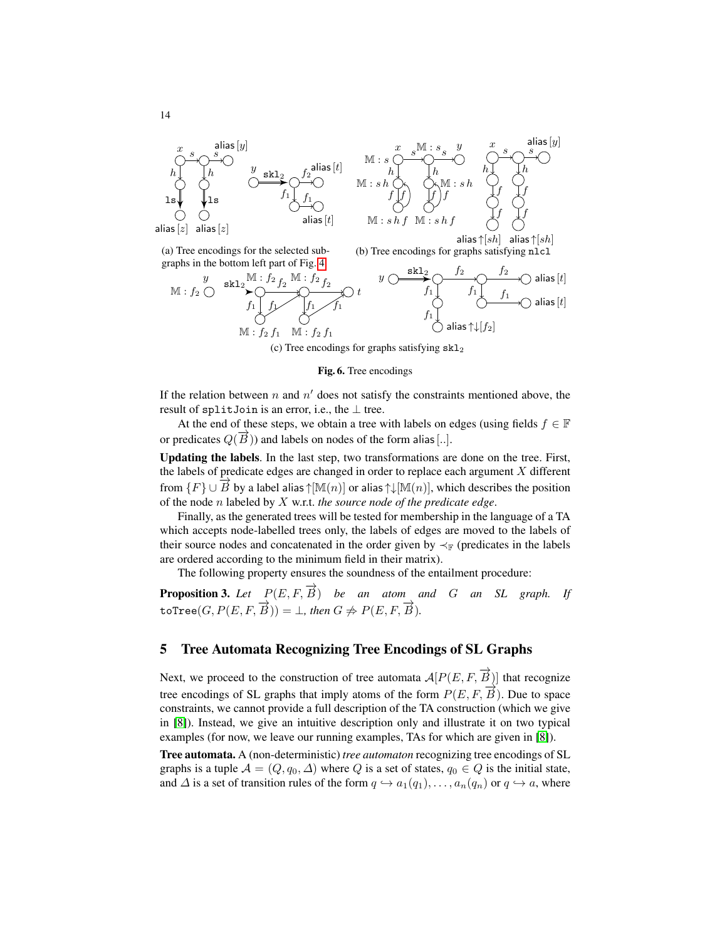



(a) Tree encodings for the selected subgraphs in the bottom left part of Fig. [4](#page-7-0)



(c) Tree encodings for graphs satisfying  $sk1<sub>2</sub>$ 

#### <span id="page-13-1"></span>Fig. 6. Tree encodings

If the relation between  $n$  and  $n'$  does not satisfy the constraints mentioned above, the result of splitJoin is an error, i.e., the  $\bot$  tree.

At the end of these steps, we obtain a tree with labels on edges (using fields  $f \in \mathbb{F}$ or predicates  $Q(\vec{B})$ ) and labels on nodes of the form alias [...].

Updating the labels. In the last step, two transformations are done on the tree. First, the labels of predicate edges are changed in order to replace each argument  $X$  different from  $\{F\} \cup \overline{B}$  by a label alias  $\uparrow$ [M $(n)$ ] or alias  $\uparrow$ [M $(n)$ ], which describes the position of the node n labeled by X w.r.t. *the source node of the predicate edge*.

Finally, as the generated trees will be tested for membership in the language of a TA which accepts node-labelled trees only, the labels of edges are moved to the labels of their source nodes and concatenated in the order given by  $\prec_F$  (predicates in the labels are ordered according to the minimum field in their matrix).

The following property ensures the soundness of the entailment procedure:

**Proposition 3.** Let  $P(E, F, \overrightarrow{B})$  be an atom and G an SL graph. If  $\text{toTree}(G, P(E, F, \overrightarrow{B})) = \perp$ , then  $G \nRightarrow P(E, F, \overrightarrow{B})$ .

# <span id="page-13-0"></span>5 Tree Automata Recognizing Tree Encodings of SL Graphs

Next, we proceed to the construction of tree automata  $\mathcal{A}[P(E, F, \overrightarrow{B})]$  that recognize tree encodings of SL graphs that imply atoms of the form  $P(E, F, \overrightarrow{B})$ . Due to space constraints, we cannot provide a full description of the TA construction (which we give in [\[8\]](#page-19-7)). Instead, we give an intuitive description only and illustrate it on two typical examples (for now, we leave our running examples, TAs for which are given in [\[8\]](#page-19-7)).

Tree automata. A (non-deterministic) *tree automaton* recognizing tree encodings of SL graphs is a tuple  $\mathcal{A} = (Q, q_0, \Delta)$  where Q is a set of states,  $q_0 \in Q$  is the initial state, and  $\Delta$  is a set of transition rules of the form  $q \hookrightarrow a_1(q_1), \ldots, a_n(q_n)$  or  $q \hookrightarrow a$ , where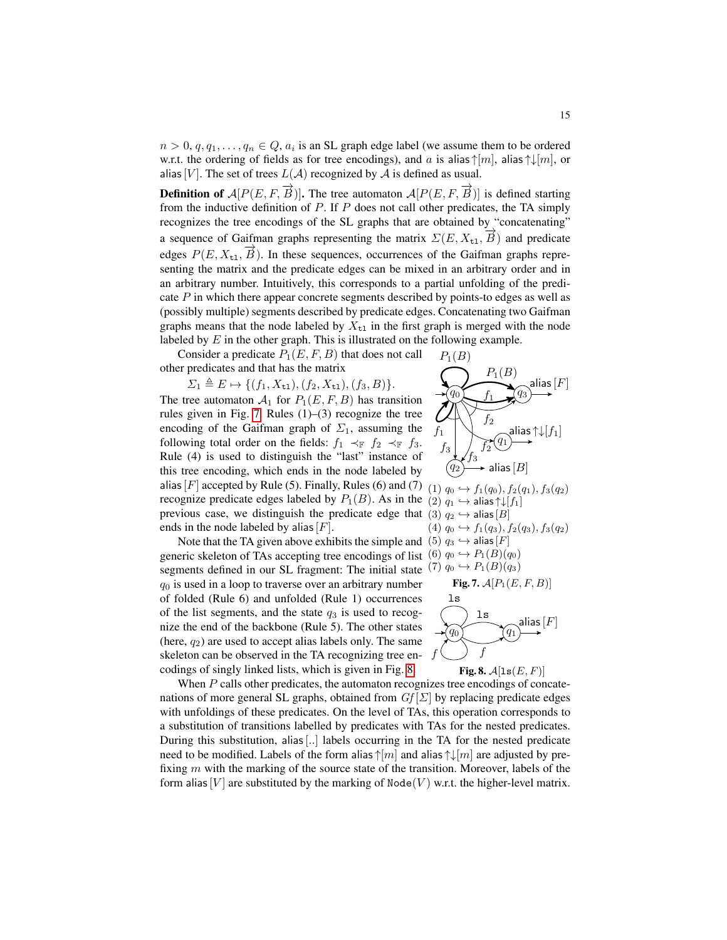$n > 0$ ,  $q, q_1, \ldots, q_n \in Q$ ,  $a_i$  is an SL graph edge label (we assume them to be ordered w.r.t. the ordering of fields as for tree encodings), and a is alias  $\uparrow[m]$ , alias  $\uparrow\downarrow[m]$ , or alias [V]. The set of trees  $L(\mathcal{A})$  recognized by  $\mathcal A$  is defined as usual.

**Definition of**  $\mathcal{A}[P(E, F, \overrightarrow{B})]$ . The tree automaton  $\mathcal{A}[P(E, F, \overrightarrow{B})]$  is defined starting from the inductive definition of  $P$ . If  $P$  does not call other predicates, the TA simply recognizes the tree encodings of the SL graphs that are obtained by "concatenating" a sequence of Gaifman graphs representing the matrix  $\Sigma(E, X_{t_1}, \overrightarrow{B})$  and predicate edges  $P(E, X_{t1}, \overrightarrow{B})$ . In these sequences, occurrences of the Gaifman graphs representing the matrix and the predicate edges can be mixed in an arbitrary order and in an arbitrary number. Intuitively, this corresponds to a partial unfolding of the predicate  $P$  in which there appear concrete segments described by points-to edges as well as (possibly multiple) segments described by predicate edges. Concatenating two Gaifman graphs means that the node labeled by  $X_{t1}$  in the first graph is merged with the node labeled by  $E$  in the other graph. This is illustrated on the following example.

Consider a predicate  $P_1(E, F, B)$  that does not call other predicates and that has the matrix

 $\Sigma_1 \triangleq E \mapsto \{(f_1, X_{t1}), (f_2, X_{t1}), (f_3, B)\}.$ The tree automaton  $\mathcal{A}_1$  for  $P_1(E, F, B)$  has transition

rules given in Fig. [7.](#page-14-0) Rules (1)–(3) recognize the tree encoding of the Gaifman graph of  $\Sigma_1$ , assuming the following total order on the fields:  $f_1 \prec_{\mathbb{F}} f_2 \prec_{\mathbb{F}} f_3$ . Rule (4) is used to distinguish the "last" instance of this tree encoding, which ends in the node labeled by alias  $[F]$  accepted by Rule (5). Finally, Rules (6) and (7) recognize predicate edges labeled by  $P_1(B)$ . As in the previous case, we distinguish the predicate edge that ends in the node labeled by alias  $[F]$ .

Note that the TA given above exhibits the simple and  $(5)$   $q_3 \hookrightarrow$  alias  $[F]$ generic skeleton of TAs accepting tree encodings of list  $(6)$   $q_0 \hookrightarrow P_1(B)(q_0)$ segments defined in our SL fragment: The initial state  $q_0$  is used in a loop to traverse over an arbitrary number of folded (Rule 6) and unfolded (Rule 1) occurrences of the list segments, and the state  $q_3$  is used to recognize the end of the backbone (Rule 5). The other states (here,  $q_2$ ) are used to accept alias labels only. The same skeleton can be observed in the TA recognizing tree encodings of singly linked lists, which is given in Fig. [8.](#page-14-1)

 $q_0$   $f_1$   $q_3$  $q_2$  $q_1$  $f_1$  $f_1$  $P_1(B)$ lias  $\vert F\vert$ alias  $\uparrow\downarrow [f_1]$ alias $[B]$  $f_3$  $f<sub>2</sub>$  $f_3$   $\Big|$   $\Big|$   $\Big|$   $\Big|$ (1)  $q_0 \hookrightarrow f_1(q_0), f_2(q_1), f_3(q_2)$ (2)  $q_1 \hookrightarrow$  alias  $\uparrow \downarrow [f_1]$  $(3)$   $q_2 \hookrightarrow$  alias  $[B]$  $(4)$   $q_0 \hookrightarrow f_1(q_3), f_2(q_3), f_3(q_2)$  $(7)$   $q_0 \hookrightarrow P_1(B)(q_3)$ Fig. 7.  $\mathcal{A}[P_1(E, F, B)]$ ls

 $P_1(B)$ 

<span id="page-14-0"></span>

<span id="page-14-1"></span>Fig. 8.  $A[ls(E, F)]$ 

When  $P$  calls other predicates, the automaton recognizes tree encodings of concatenations of more general SL graphs, obtained from  $Gf[\Sigma]$  by replacing predicate edges with unfoldings of these predicates. On the level of TAs, this operation corresponds to a substitution of transitions labelled by predicates with TAs for the nested predicates. During this substitution, alias [..] labels occurring in the TA for the nested predicate need to be modified. Labels of the form alias  $\uparrow$ [m] and alias  $\uparrow$ [m] are adjusted by prefixing  $m$  with the marking of the source state of the transition. Moreover, labels of the form alias [V] are substituted by the marking of Node(V) w.r.t. the higher-level matrix.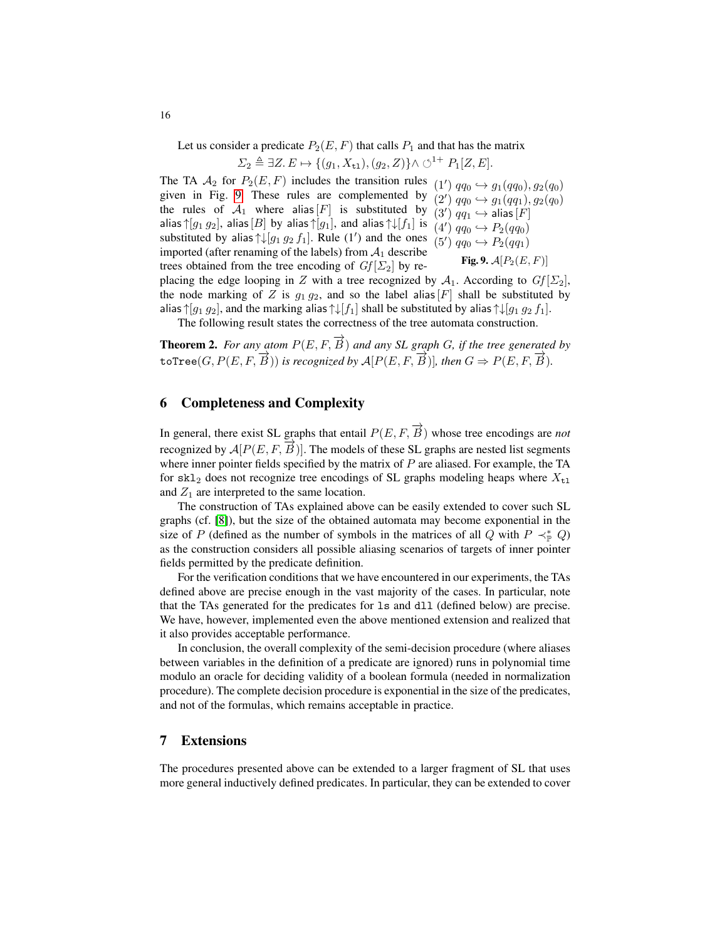Let us consider a predicate  $P_2(E, F)$  that calls  $P_1$  and that has the matrix

<span id="page-15-1"></span>
$$
\Sigma_2 \triangleq \exists Z. E \mapsto \{ (g_1, X_{\mathtt{tl}}), (g_2, Z) \} \wedge \bigcirc^{1+} P_1[Z, E].
$$

 $(1')$   $qq_0 \hookrightarrow g_1(qq_0), g_2(q_0)$  $(2')$   $qq_0 \hookrightarrow g_1(qq_1), g_2(q_0)$  $(3')$   $qq_1 \hookrightarrow$  alias  $[F]$  $(4')$   $qq_0 \hookrightarrow P_2(qq_0)$  $(5')$   $qq_0 \hookrightarrow P_2(qq_1)$ Fig. 9.  $\mathcal{A}[P_2(E, F)]$ The TA  $A_2$  for  $P_2(E, F)$  includes the transition rules given in Fig. [9.](#page-15-1) These rules are complemented by the rules of  $A_1$  where alias  $[F]$  is substituted by alias  $\uparrow$ [g<sub>1</sub> g<sub>2</sub>], alias [B] by alias  $\uparrow$ [g<sub>1</sub>], and alias  $\uparrow \downarrow$ [f<sub>1</sub>] is substituted by alias  $\uparrow \downarrow [g_1 \ g_2 \ f_1]$ . Rule  $(1')$  and the ones imported (after renaming of the labels) from  $A_1$  describe trees obtained from the tree encoding of  $Gf[\Sigma_2]$  by replacing the edge looping in Z with a tree recognized by  $A_1$ . According to  $Gf[\Sigma_2]$ ,

the node marking of Z is  $g_1 g_2$ , and so the label alias  $[F]$  shall be substituted by alias  $\uparrow$ [g<sub>1</sub> g<sub>2</sub>], and the marking alias  $\uparrow \downarrow$ [f<sub>1</sub>] shall be substituted by alias  $\uparrow \downarrow$ [g<sub>1</sub> g<sub>2</sub> f<sub>1</sub>].

The following result states the correctness of the tree automata construction.

**Theorem 2.** For any atom  $P(E, F, \overrightarrow{B})$  and any SL graph G, if the tree generated by  $\text{tofree}(G, P(E, F, \overrightarrow{B}))$  *is recognized by*  $\mathcal{A}[P(E, F, \overrightarrow{B})]$ *, then*  $G \Rightarrow P(E, F, \overrightarrow{B})$ *.* 

### <span id="page-15-0"></span>6 Completeness and Complexity

In general, there exist SL graphs that entail  $P(E, F, \overrightarrow{B})$  whose tree encodings are *not* recognized by  $A[P(E, F, \overrightarrow{B})]$ . The models of these SL graphs are nested list segments where inner pointer fields specified by the matrix of  $P$  are aliased. For example, the TA for sk1<sub>2</sub> does not recognize tree encodings of SL graphs modeling heaps where  $X_{t_1}$ and  $Z_1$  are interpreted to the same location.

The construction of TAs explained above can be easily extended to cover such SL graphs (cf. [\[8\]](#page-19-7)), but the size of the obtained automata may become exponential in the size of P (defined as the number of symbols in the matrices of all Q with  $P \prec_{\mathbb{P}}^* Q$ ) as the construction considers all possible aliasing scenarios of targets of inner pointer fields permitted by the predicate definition.

For the verification conditions that we have encountered in our experiments, the TAs defined above are precise enough in the vast majority of the cases. In particular, note that the TAs generated for the predicates for ls and dll (defined below) are precise. We have, however, implemented even the above mentioned extension and realized that it also provides acceptable performance.

In conclusion, the overall complexity of the semi-decision procedure (where aliases between variables in the definition of a predicate are ignored) runs in polynomial time modulo an oracle for deciding validity of a boolean formula (needed in normalization procedure). The complete decision procedure is exponential in the size of the predicates, and not of the formulas, which remains acceptable in practice.

# 7 Extensions

The procedures presented above can be extended to a larger fragment of SL that uses more general inductively defined predicates. In particular, they can be extended to cover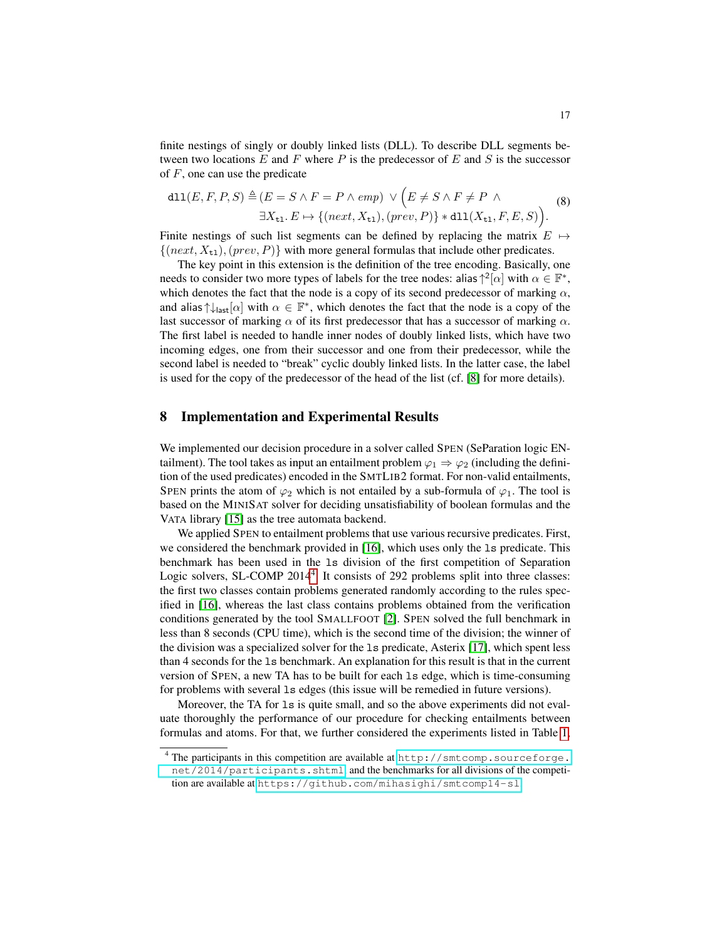finite nestings of singly or doubly linked lists (DLL). To describe DLL segments between two locations  $E$  and  $F$  where  $P$  is the predecessor of  $E$  and  $S$  is the successor of  $F$ , one can use the predicate

$$
\text{d11}(E, F, P, S) \triangleq (E = S \land F = P \land emp) \lor \left(E \neq S \land F \neq P \land (8) \exists X_{\text{t1}}. E \mapsto \{(next, X_{\text{t1}}), (prev, P)\} * \text{d11}(X_{\text{t1}}, F, E, S)\right).
$$

Finite nestings of such list segments can be defined by replacing the matrix  $E \mapsto$  $\{(next, X_{t1}), (prev, P)\}$  with more general formulas that include other predicates.

The key point in this extension is the definition of the tree encoding. Basically, one needs to consider two more types of labels for the tree nodes: alias  $\uparrow^2[\alpha]$  with  $\alpha \in \mathbb{F}^*$ , which denotes the fact that the node is a copy of its second predecessor of marking  $\alpha$ , and alias  $\uparrow\downarrow_{\text{last}}[\alpha]$  with  $\alpha \in \mathbb{F}^*$ , which denotes the fact that the node is a copy of the last successor of marking  $\alpha$  of its first predecessor that has a successor of marking  $\alpha$ . The first label is needed to handle inner nodes of doubly linked lists, which have two incoming edges, one from their successor and one from their predecessor, while the second label is needed to "break" cyclic doubly linked lists. In the latter case, the label is used for the copy of the predecessor of the head of the list (cf. [\[8\]](#page-19-7) for more details).

# 8 Implementation and Experimental Results

We implemented our decision procedure in a solver called SPEN (SeParation logic ENtailment). The tool takes as input an entailment problem  $\varphi_1 \Rightarrow \varphi_2$  (including the definition of the used predicates) encoded in the SMTLIB2 format. For non-valid entailments, SPEN prints the atom of  $\varphi_2$  which is not entailed by a sub-formula of  $\varphi_1$ . The tool is based on the MINISAT solver for deciding unsatisfiability of boolean formulas and the VATA library [\[15\]](#page-19-9) as the tree automata backend.

We applied SPEN to entailment problems that use various recursive predicates. First, we considered the benchmark provided in [\[16\]](#page-19-10), which uses only the ls predicate. This benchmark has been used in the ls division of the first competition of Separation Logic solvers, SL-COMP 201[4](#page-16-0)<sup>4</sup>. It consists of 292 problems split into three classes: the first two classes contain problems generated randomly according to the rules specified in [\[16\]](#page-19-10), whereas the last class contains problems obtained from the verification conditions generated by the tool SMALLFOOT [\[2\]](#page-18-2). SPEN solved the full benchmark in less than 8 seconds (CPU time), which is the second time of the division; the winner of the division was a specialized solver for the ls predicate, Asterix [\[17\]](#page-19-11), which spent less than 4 seconds for the ls benchmark. An explanation for this result is that in the current version of SPEN, a new TA has to be built for each ls edge, which is time-consuming for problems with several ls edges (this issue will be remedied in future versions).

Moreover, the TA for ls is quite small, and so the above experiments did not evaluate thoroughly the performance of our procedure for checking entailments between formulas and atoms. For that, we further considered the experiments listed in Table [1,](#page-17-1)

<span id="page-16-0"></span><sup>&</sup>lt;sup>4</sup> The participants in this competition are available at [http://smtcomp.sourceforge.](http://smtcomp.sourceforge.net/2014/participants.shtml) [net/2014/participants.shtml](http://smtcomp.sourceforge.net/2014/participants.shtml), and the benchmarks for all divisions of the competition are available at <https://github.com/mihasighi/smtcomp14-sl>.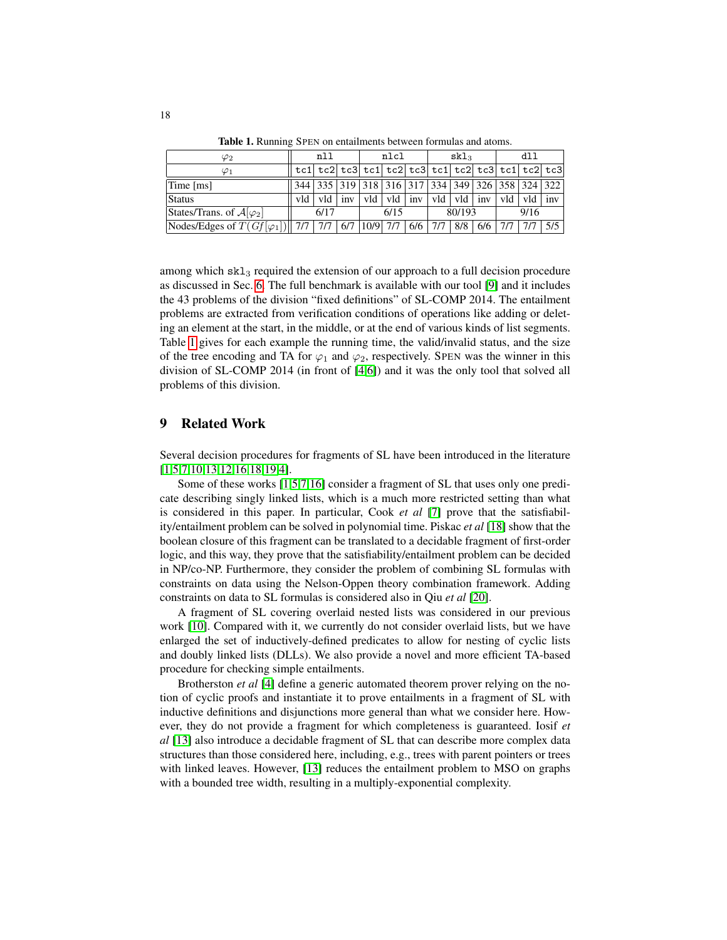| $\varphi_2$                                                                   | nll  |                 | nlcl |  | $skl_3$ |  |      | dll                                                                   |     |     |     |     |
|-------------------------------------------------------------------------------|------|-----------------|------|--|---------|--|------|-----------------------------------------------------------------------|-----|-----|-----|-----|
| $\varphi_1$                                                                   |      |                 |      |  |         |  |      | tc1   tc2   tc3   tc1   tc2   tc3   tc1   tc2   tc3   tc1   tc2   tc3 |     |     |     |     |
| Time [ms]                                                                     |      |                 |      |  |         |  |      | 344   335   319   318   316   317   334   349   326   358   324   322 |     |     |     |     |
| Status                                                                        | vld  | $\pm$ vld $\pm$ |      |  |         |  |      | inv   vld   vld   inv   vld   vld   inv   vld   vld   inv             |     |     |     |     |
| States/Trans. of $A[\varphi_2]$                                               | 6/17 |                 | 6/15 |  | 80/193  |  | 9/16 |                                                                       |     |     |     |     |
| Nodes/Edges of $T(Gf[\varphi_1])$    7/7   7/7   6/7   10/9   7/7   6/6   7/7 |      |                 |      |  |         |  |      | 8/8                                                                   | 6/6 | 7/7 | 7/7 | 5/5 |

<span id="page-17-1"></span>Table 1. Running SPEN on entailments between formulas and atoms.

among which  $skl<sub>3</sub>$  required the extension of our approach to a full decision procedure as discussed in Sec. [6.](#page-15-0) The full benchmark is available with our tool [\[9\]](#page-19-12) and it includes the 43 problems of the division "fixed definitions" of SL-COMP 2014. The entailment problems are extracted from verification conditions of operations like adding or deleting an element at the start, in the middle, or at the end of various kinds of list segments. Table [1](#page-17-1) gives for each example the running time, the valid/invalid status, and the size of the tree encoding and TA for  $\varphi_1$  and  $\varphi_2$ , respectively. SPEN was the winner in this division of SL-COMP 2014 (in front of [\[4](#page-18-3)[,6\]](#page-19-13)) and it was the only tool that solved all problems of this division.

# <span id="page-17-0"></span>9 Related Work

Several decision procedures for fragments of SL have been introduced in the literature [\[1,](#page-18-0)[5,](#page-19-2)[7,](#page-19-14)[10](#page-19-8)[,13](#page-19-3)[,12](#page-19-5)[,16](#page-19-10)[,18](#page-19-4)[,19,](#page-19-15)[4\]](#page-18-3).

Some of these works [\[1](#page-18-0)[,5](#page-19-2)[,7](#page-19-14)[,16\]](#page-19-10) consider a fragment of SL that uses only one predicate describing singly linked lists, which is a much more restricted setting than what is considered in this paper. In particular, Cook *et al* [\[7\]](#page-19-14) prove that the satisfiability/entailment problem can be solved in polynomial time. Piskac *et al* [\[18\]](#page-19-4) show that the boolean closure of this fragment can be translated to a decidable fragment of first-order logic, and this way, they prove that the satisfiability/entailment problem can be decided in NP/co-NP. Furthermore, they consider the problem of combining SL formulas with constraints on data using the Nelson-Oppen theory combination framework. Adding constraints on data to SL formulas is considered also in Qiu *et al* [\[20\]](#page-19-16).

A fragment of SL covering overlaid nested lists was considered in our previous work [\[10\]](#page-19-8). Compared with it, we currently do not consider overlaid lists, but we have enlarged the set of inductively-defined predicates to allow for nesting of cyclic lists and doubly linked lists (DLLs). We also provide a novel and more efficient TA-based procedure for checking simple entailments.

Brotherston *et al* [\[4\]](#page-18-3) define a generic automated theorem prover relying on the notion of cyclic proofs and instantiate it to prove entailments in a fragment of SL with inductive definitions and disjunctions more general than what we consider here. However, they do not provide a fragment for which completeness is guaranteed. Iosif *et al* [\[13\]](#page-19-3) also introduce a decidable fragment of SL that can describe more complex data structures than those considered here, including, e.g., trees with parent pointers or trees with linked leaves. However, [\[13\]](#page-19-3) reduces the entailment problem to MSO on graphs with a bounded tree width, resulting in a multiply-exponential complexity.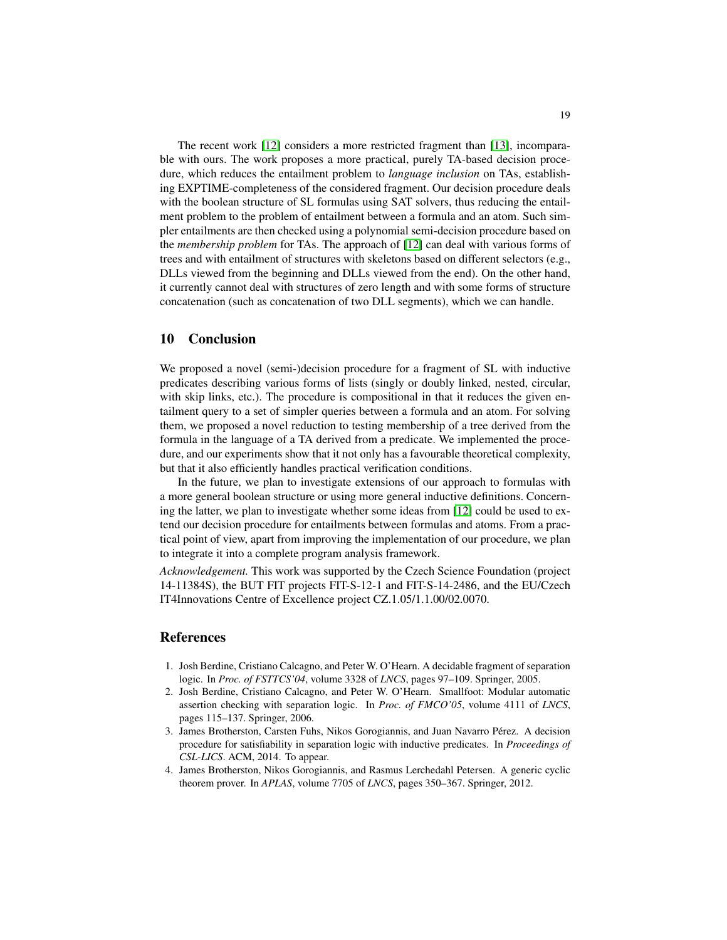The recent work [\[12\]](#page-19-5) considers a more restricted fragment than [\[13\]](#page-19-3), incomparable with ours. The work proposes a more practical, purely TA-based decision procedure, which reduces the entailment problem to *language inclusion* on TAs, establishing EXPTIME-completeness of the considered fragment. Our decision procedure deals with the boolean structure of SL formulas using SAT solvers, thus reducing the entailment problem to the problem of entailment between a formula and an atom. Such simpler entailments are then checked using a polynomial semi-decision procedure based on the *membership problem* for TAs. The approach of [\[12\]](#page-19-5) can deal with various forms of trees and with entailment of structures with skeletons based on different selectors (e.g., DLLs viewed from the beginning and DLLs viewed from the end). On the other hand, it currently cannot deal with structures of zero length and with some forms of structure concatenation (such as concatenation of two DLL segments), which we can handle.

# 10 Conclusion

We proposed a novel (semi-)decision procedure for a fragment of SL with inductive predicates describing various forms of lists (singly or doubly linked, nested, circular, with skip links, etc.). The procedure is compositional in that it reduces the given entailment query to a set of simpler queries between a formula and an atom. For solving them, we proposed a novel reduction to testing membership of a tree derived from the formula in the language of a TA derived from a predicate. We implemented the procedure, and our experiments show that it not only has a favourable theoretical complexity, but that it also efficiently handles practical verification conditions.

In the future, we plan to investigate extensions of our approach to formulas with a more general boolean structure or using more general inductive definitions. Concerning the latter, we plan to investigate whether some ideas from [\[12\]](#page-19-5) could be used to extend our decision procedure for entailments between formulas and atoms. From a practical point of view, apart from improving the implementation of our procedure, we plan to integrate it into a complete program analysis framework.

*Acknowledgement.* This work was supported by the Czech Science Foundation (project 14-11384S), the BUT FIT projects FIT-S-12-1 and FIT-S-14-2486, and the EU/Czech IT4Innovations Centre of Excellence project CZ.1.05/1.1.00/02.0070.

# References

- <span id="page-18-0"></span>1. Josh Berdine, Cristiano Calcagno, and Peter W. O'Hearn. A decidable fragment of separation logic. In *Proc. of FSTTCS'04*, volume 3328 of *LNCS*, pages 97–109. Springer, 2005.
- <span id="page-18-2"></span>2. Josh Berdine, Cristiano Calcagno, and Peter W. O'Hearn. Smallfoot: Modular automatic assertion checking with separation logic. In *Proc. of FMCO'05*, volume 4111 of *LNCS*, pages 115–137. Springer, 2006.
- <span id="page-18-1"></span>3. James Brotherston, Carsten Fuhs, Nikos Gorogiannis, and Juan Navarro Perez. A decision ´ procedure for satisfiability in separation logic with inductive predicates. In *Proceedings of CSL-LICS*. ACM, 2014. To appear.
- <span id="page-18-3"></span>4. James Brotherston, Nikos Gorogiannis, and Rasmus Lerchedahl Petersen. A generic cyclic theorem prover. In *APLAS*, volume 7705 of *LNCS*, pages 350–367. Springer, 2012.